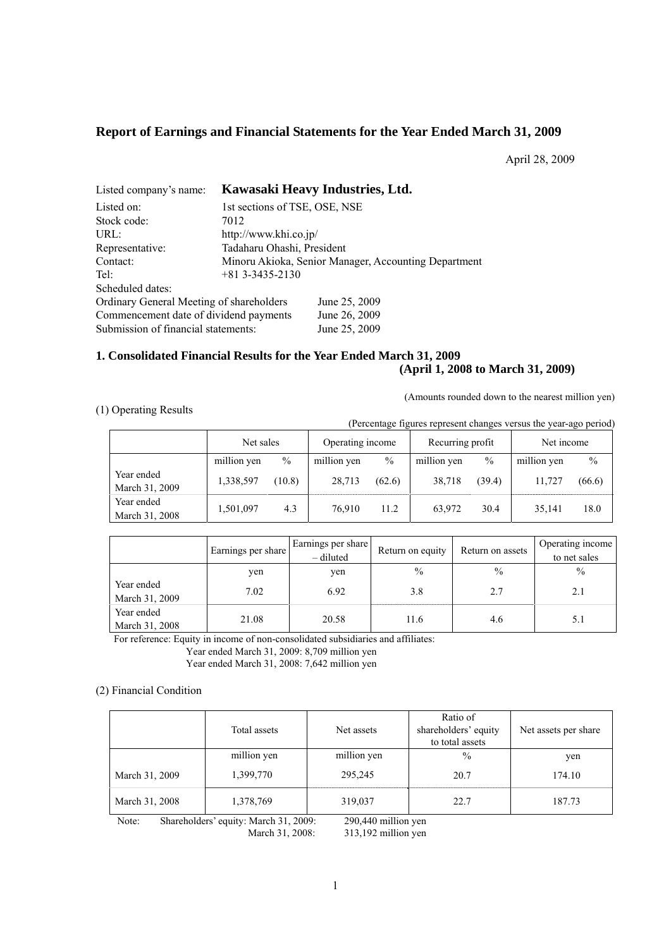# **Report of Earnings and Financial Statements for the Year Ended March 31, 2009**

April 28, 2009

| Listed company's name:                   |                               | Kawasaki Heavy Industries, Ltd.                      |
|------------------------------------------|-------------------------------|------------------------------------------------------|
| Listed on:                               | 1st sections of TSE, OSE, NSE |                                                      |
| Stock code:                              | 7012                          |                                                      |
| URL:                                     | http://www.khi.co.jp/         |                                                      |
| Representative:                          | Tadaharu Ohashi, President    |                                                      |
| Contact:                                 |                               | Minoru Akioka, Senior Manager, Accounting Department |
| Tel:                                     | $+81$ 3-3435-2130             |                                                      |
| Scheduled dates:                         |                               |                                                      |
| Ordinary General Meeting of shareholders |                               | June 25, 2009                                        |
| Commencement date of dividend payments   |                               | June 26, 2009                                        |
| Submission of financial statements:      |                               | June 25, 2009                                        |

# **1. Consolidated Financial Results for the Year Ended March 31, 2009 (April 1, 2008 to March 31, 2009)**

(Amounts rounded down to the nearest million yen)

### (1) Operating Results

(Percentage figures represent changes versus the year-ago period)

|                              | Net sales   |        | Operating income |               | Recurring profit |        | Net income  |        |
|------------------------------|-------------|--------|------------------|---------------|------------------|--------|-------------|--------|
|                              | million yen | $\%$   | million yen      | $\frac{0}{0}$ | million yen      | $\%$   | million yen | $\%$   |
| Year ended<br>March 31, 2009 | 1,338,597   | (10.8) | 28,713           | (62.6)        | 38.718           | (39.4) | 11.727      | (66.6) |
| Year ended<br>March 31, 2008 | 1,501,097   | 4.3    | 76.910           | 11.2          | 63,972           | 30.4   | 35.141      | 18.0   |

|                              | Earnings per share | Earnings per share<br>$-$ diluted | Return on equity | Return on assets | Operating income<br>to net sales |
|------------------------------|--------------------|-----------------------------------|------------------|------------------|----------------------------------|
|                              | ven                | ven                               | $\frac{0}{0}$    | $\frac{0}{0}$    | $\frac{0}{0}$                    |
| Year ended<br>March 31, 2009 | 7.02               | 6.92                              | 3.8              | 2.7              |                                  |
| Year ended<br>March 31, 2008 | 21.08              | 20.58                             | 11.6             | 4.6              |                                  |

For reference: Equity in income of non-consolidated subsidiaries and affiliates:

Year ended March 31, 2009: 8,709 million yen

Year ended March 31, 2008: 7,642 million yen

### (2) Financial Condition

|                | Total assets | Net assets  | Ratio of<br>shareholders' equity<br>to total assets | Net assets per share |
|----------------|--------------|-------------|-----------------------------------------------------|----------------------|
|                | million yen  | million yen | $\%$                                                | yen                  |
| March 31, 2009 | 1,399,770    | 295,245     | 20.7                                                | 174.10               |
| March 31, 2008 | 1,378,769    | 319,037     | 22.7                                                | 187.73               |

Note: Shareholders' equity: March 31, 2009: 290,440 million yen

March 31, 2008: 313,192 million yen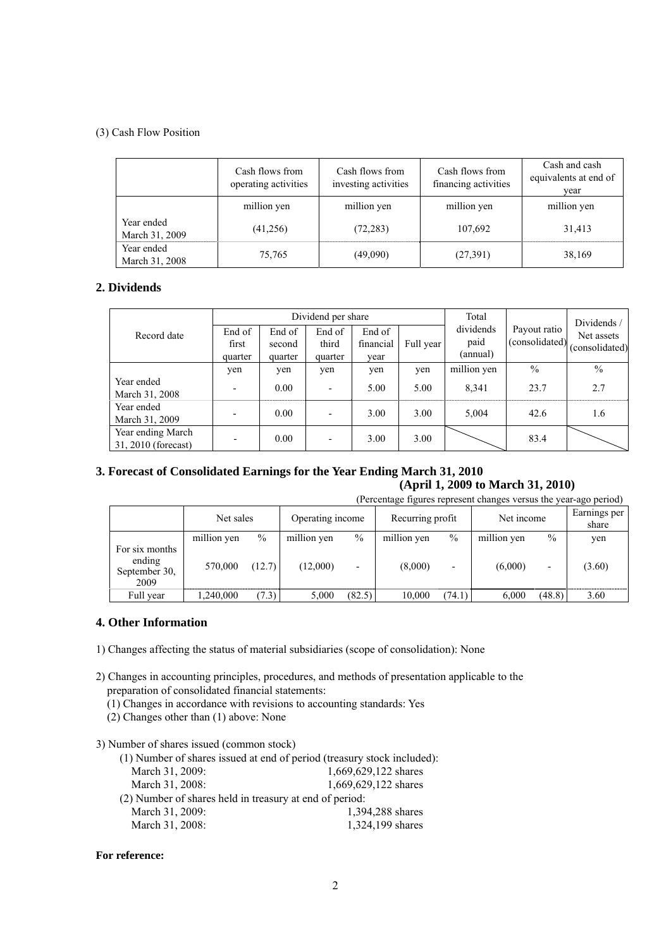### (3) Cash Flow Position

|                              | Cash flows from<br>operating activities | Cash flows from<br>investing activities | Cash flows from<br>financing activities | Cash and cash<br>equivalents at end of<br>year |  |
|------------------------------|-----------------------------------------|-----------------------------------------|-----------------------------------------|------------------------------------------------|--|
|                              | million yen                             | million yen                             | million yen                             | million yen                                    |  |
| Year ended<br>March 31, 2009 | (41,256)                                | (72, 283)                               | 107,692                                 | 31,413                                         |  |
| Year ended<br>March 31, 2008 | 75,765                                  | (49,090)                                | (27,391)                                | 38,169                                         |  |

# **2. Dividends**

|                                          |                            |                             | Dividend per share         |                             | Total     |                               | Dividends/                     |                              |  |
|------------------------------------------|----------------------------|-----------------------------|----------------------------|-----------------------------|-----------|-------------------------------|--------------------------------|------------------------------|--|
| Record date                              | End of<br>first<br>quarter | End of<br>second<br>quarter | End of<br>third<br>quarter | End of<br>financial<br>vear | Full year | dividends<br>paid<br>(annual) | Payout ratio<br>(consolidated) | Net assets<br>(consolidated) |  |
|                                          | yen                        | yen                         | yen                        | yen                         | ven       | million yen                   | $\frac{0}{0}$                  | $\frac{0}{0}$                |  |
| Year ended<br>March 31, 2008             | $\overline{\phantom{0}}$   | 0.00                        |                            | 5.00                        | 5.00      | 8,341                         | 23.7                           | 2.7                          |  |
| Year ended<br>March 31, 2009             | -                          | 0.00                        |                            | 3.00                        | 3.00      | 5,004                         | 42.6                           | 1.6                          |  |
| Year ending March<br>31, 2010 (forecast) | $\overline{\phantom{a}}$   | 0.00                        |                            | 3.00                        | 3.00      |                               | 83.4                           |                              |  |

# **3. Forecast of Consolidated Earnings for the Year Ending March 31, 2010**

# **(April 1, 2009 to March 31, 2010)**

|                                                   | (Percentage figures represent changes versus the year-ago period) |        |                  |        |                  |                          |             |                          |                       |  |  |  |  |
|---------------------------------------------------|-------------------------------------------------------------------|--------|------------------|--------|------------------|--------------------------|-------------|--------------------------|-----------------------|--|--|--|--|
|                                                   | Net sales                                                         |        | Operating income |        | Recurring profit |                          | Net income  |                          | Earnings per<br>share |  |  |  |  |
|                                                   | million yen                                                       | $\%$   | million yen      | $\%$   | million yen      | $\%$                     | million yen | $\frac{0}{0}$            | yen                   |  |  |  |  |
| For six months<br>ending<br>September 30,<br>2009 | 570,000                                                           | (12.7) | (12,000)         | -      | (8,000)          | $\overline{\phantom{0}}$ | (6,000)     | $\overline{\phantom{0}}$ | (3.60)                |  |  |  |  |
| Full year                                         | 1,240,000                                                         | (7.3)  | 5,000            | (82.5) | 10,000           | (74.1)                   | 6,000       | (48.8)                   | 3.60                  |  |  |  |  |

### **4. Other Information**

- 1) Changes affecting the status of material subsidiaries (scope of consolidation): None
- 2) Changes in accounting principles, procedures, and methods of presentation applicable to the preparation of consolidated financial statements:
	- (1) Changes in accordance with revisions to accounting standards: Yes
	- (2) Changes other than (1) above: None
- 3) Number of shares issued (common stock)

|                                                         | (1) Number of shares issued at end of period (treasury stock included): |
|---------------------------------------------------------|-------------------------------------------------------------------------|
| March 31, 2009:                                         | 1,669,629,122 shares                                                    |
| March 31, 2008:                                         | 1,669,629,122 shares                                                    |
| (2) Number of shares held in treasury at end of period: |                                                                         |
| March 31, 2009:                                         | 1,394,288 shares                                                        |
| March 31, 2008:                                         | 1,324,199 shares                                                        |

### **For reference:**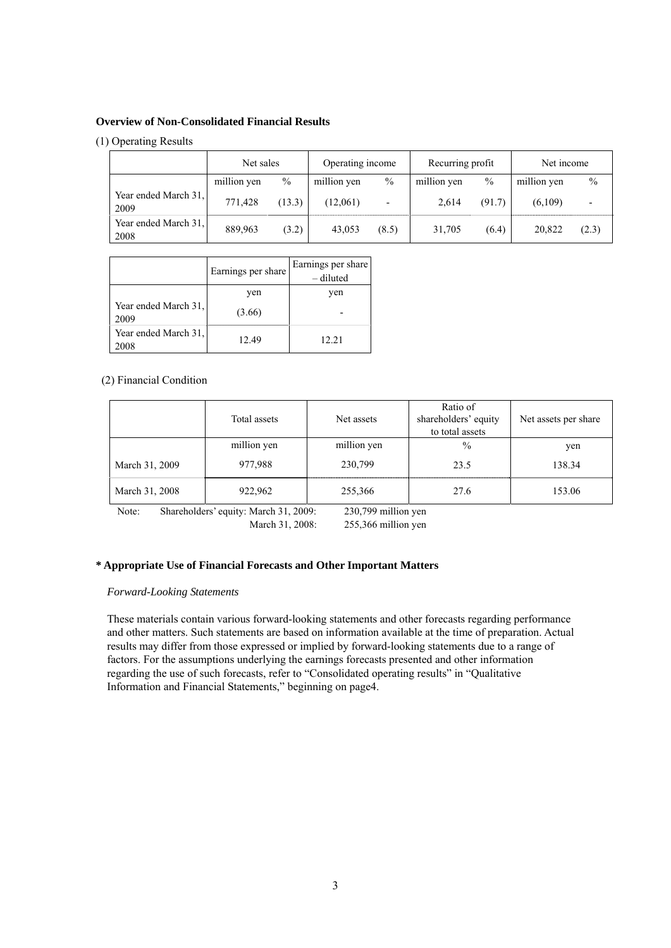#### **Overview of Non-Consolidated Financial Results**

### (1) Operating Results

|                              | Net sales   |               | Operating income |                          | Recurring profit |               | Net income  |                          |
|------------------------------|-------------|---------------|------------------|--------------------------|------------------|---------------|-------------|--------------------------|
|                              | million yen | $\frac{0}{0}$ | million yen      | $\frac{0}{0}$            | million yen      | $\frac{0}{0}$ | million yen | $\%$                     |
| Year ended March 31,<br>2009 | 771,428     | (13.3)        | (12,061)         | $\overline{\phantom{0}}$ | 2.614            | (91.7)        | (6,109)     | $\overline{\phantom{0}}$ |
| Year ended March 31,<br>2008 | 889,963     | (3.2)         | 43,053           | (8.5)                    | 31,705           | (6.4)         | 20,822      | (2.3)                    |

|                              | Earnings per share | Earnings per share<br>- diluted |
|------------------------------|--------------------|---------------------------------|
|                              | yen                | ven                             |
| Year ended March 31,<br>2009 | (3.66)             |                                 |
| Year ended March 31,<br>2008 | 12.49              | 12.21                           |

#### (2) Financial Condition

|                | Total assets<br>Net assets |             | Ratio of<br>shareholders' equity<br>to total assets | Net assets per share |
|----------------|----------------------------|-------------|-----------------------------------------------------|----------------------|
|                | million yen                | million yen | $\frac{0}{0}$                                       | yen                  |
| March 31, 2009 | 977,988                    | 230,799     | 23.5                                                | 138.34               |
| March 31, 2008 | 922,962                    | 255,366     | 27.6                                                | 153.06               |

Note: Shareholders' equity: March 31, 2009: 230,799 million yen March 31, 2008: 255,366 million yen

# **\* Appropriate Use of Financial Forecasts and Other Important Matters**

### *Forward-Looking Statements*

These materials contain various forward-looking statements and other forecasts regarding performance and other matters. Such statements are based on information available at the time of preparation. Actual results may differ from those expressed or implied by forward-looking statements due to a range of factors. For the assumptions underlying the earnings forecasts presented and other information regarding the use of such forecasts, refer to "Consolidated operating results" in "Qualitative Information and Financial Statements," beginning on page4.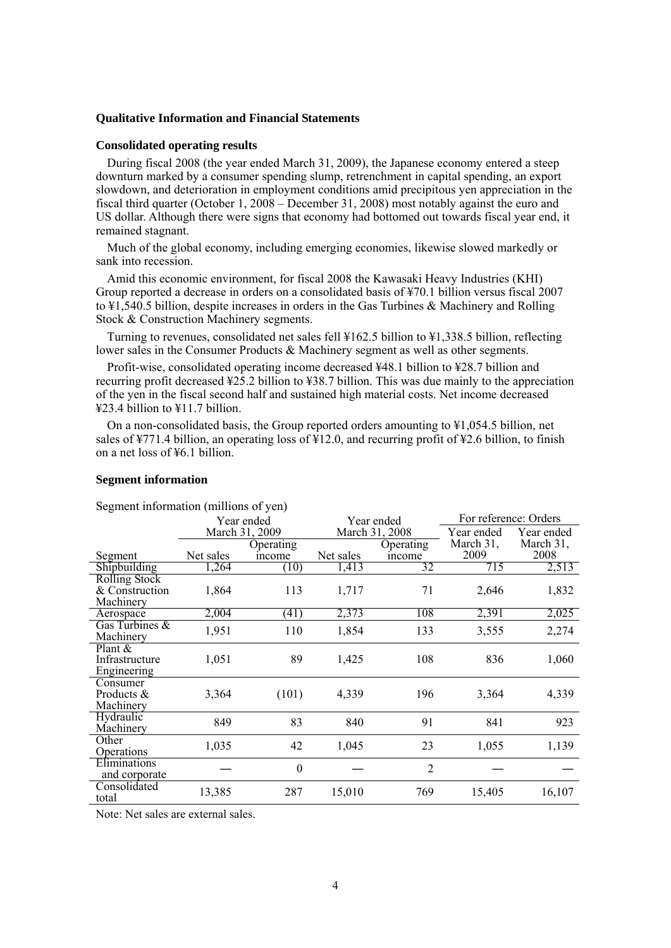### **Qualitative Information and Financial Statements**

#### **Consolidated operating results**

During fiscal 2008 (the year ended March 31, 2009), the Japanese economy entered a steep downturn marked by a consumer spending slump, retrenchment in capital spending, an export slowdown, and deterioration in employment conditions amid precipitous yen appreciation in the fiscal third quarter (October 1, 2008 – December 31, 2008) most notably against the euro and US dollar. Although there were signs that economy had bottomed out towards fiscal year end, it remained stagnant.

Much of the global economy, including emerging economies, likewise slowed markedly or sank into recession.

Amid this economic environment, for fiscal 2008 the Kawasaki Heavy Industries (KHI) Group reported a decrease in orders on a consolidated basis of ¥70.1 billion versus fiscal 2007 to ¥1,540.5 billion, despite increases in orders in the Gas Turbines & Machinery and Rolling Stock & Construction Machinery segments.

Turning to revenues, consolidated net sales fell ¥162.5 billion to ¥1,338.5 billion, reflecting lower sales in the Consumer Products & Machinery segment as well as other segments.

Profit-wise, consolidated operating income decreased ¥48.1 billion to ¥28.7 billion and recurring profit decreased ¥25.2 billion to ¥38.7 billion. This was due mainly to the appreciation of the yen in the fiscal second half and sustained high material costs. Net income decreased ¥23.4 billion to ¥11.7 billion.

On a non-consolidated basis, the Group reported orders amounting to ¥1,054.5 billion, net sales of ¥771.4 billion, an operating loss of  $\angle 12.0$ , and recurring profit of ¥2.6 billion, to finish on a net loss of ¥6.1 billion.

#### **Segment information**

|                                                     | Year ended     |                  |           | Year ended     | For reference: Orders |            |  |
|-----------------------------------------------------|----------------|------------------|-----------|----------------|-----------------------|------------|--|
|                                                     | March 31, 2009 |                  |           | March 31, 2008 | Year ended            | Year ended |  |
|                                                     |                | Operating        |           | Operating      | March 31,             | March 31,  |  |
| Segment                                             | Net sales      | income           | Net sales | income         | 2009                  | 2008       |  |
| Shipbuilding                                        | 1,264          | (10)             | 1,413     | 32             | 715                   | 2,513      |  |
| <b>Rolling Stock</b><br>& Construction<br>Machinery | 1,864          | 113              | 1,717     | 71             | 2,646                 | 1,832      |  |
| Aerospace                                           | 2,004          | (41)             | 2,373     | 108            | 2,391                 | 2,025      |  |
| Gas Turbines &<br>Machinery                         | 1,951          | 110              | 1,854     | 133            | 3,555                 | 2,274      |  |
| Plant $\&$<br>Infrastructure<br>Engineering         | 1,051          | 89               | 1,425     | 108            | 836                   | 1,060      |  |
| Consumer<br>Products &<br>Machinery                 | 3,364          | (101)            | 4,339     | 196            | 3,364                 | 4,339      |  |
| Hydraulic<br>Machinery                              | 849            | 83               | 840       | 91             | 841                   | 923        |  |
| Other<br>Operations                                 | 1,035          | 42               | 1,045     | 23             | 1,055                 | 1,139      |  |
| Eliminations<br>and corporate                       |                | $\boldsymbol{0}$ |           | $\overline{2}$ |                       |            |  |
| Consolidated<br>total                               | 13,385         | 287              | 15,010    | 769            | 15,405                | 16,107     |  |

Segment information (millions of yen)

Note: Net sales are external sales.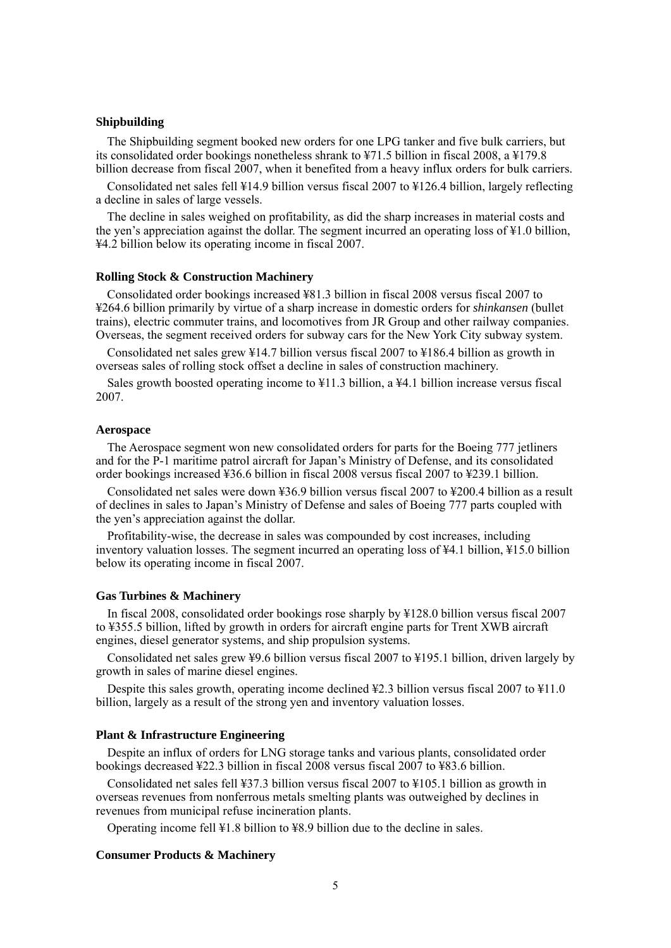#### **Shipbuilding**

The Shipbuilding segment booked new orders for one LPG tanker and five bulk carriers, but its consolidated order bookings nonetheless shrank to ¥71.5 billion in fiscal 2008, a ¥179.8 billion decrease from fiscal 2007, when it benefited from a heavy influx orders for bulk carriers.

Consolidated net sales fell ¥14.9 billion versus fiscal 2007 to ¥126.4 billion, largely reflecting a decline in sales of large vessels.

The decline in sales weighed on profitability, as did the sharp increases in material costs and the yen's appreciation against the dollar. The segment incurred an operating loss of ¥1.0 billion, ¥4.2 billion below its operating income in fiscal 2007.

#### **Rolling Stock & Construction Machinery**

Consolidated order bookings increased ¥81.3 billion in fiscal 2008 versus fiscal 2007 to ¥264.6 billion primarily by virtue of a sharp increase in domestic orders for *shinkansen* (bullet trains), electric commuter trains, and locomotives from JR Group and other railway companies. Overseas, the segment received orders for subway cars for the New York City subway system.

Consolidated net sales grew ¥14.7 billion versus fiscal 2007 to ¥186.4 billion as growth in overseas sales of rolling stock offset a decline in sales of construction machinery.

Sales growth boosted operating income to ¥11.3 billion, a ¥4.1 billion increase versus fiscal 2007.

### **Aerospace**

The Aerospace segment won new consolidated orders for parts for the Boeing 777 jetliners and for the P-1 maritime patrol aircraft for Japan's Ministry of Defense, and its consolidated order bookings increased ¥36.6 billion in fiscal 2008 versus fiscal 2007 to ¥239.1 billion.

Consolidated net sales were down ¥36.9 billion versus fiscal 2007 to ¥200.4 billion as a result of declines in sales to Japan's Ministry of Defense and sales of Boeing 777 parts coupled with the yen's appreciation against the dollar.

Profitability-wise, the decrease in sales was compounded by cost increases, including inventory valuation losses. The segment incurred an operating loss of ¥4.1 billion, ¥15.0 billion below its operating income in fiscal 2007.

#### **Gas Turbines & Machinery**

In fiscal 2008, consolidated order bookings rose sharply by ¥128.0 billion versus fiscal 2007 to ¥355.5 billion, lifted by growth in orders for aircraft engine parts for Trent XWB aircraft engines, diesel generator systems, and ship propulsion systems.

Consolidated net sales grew ¥9.6 billion versus fiscal 2007 to ¥195.1 billion, driven largely by growth in sales of marine diesel engines.

Despite this sales growth, operating income declined ¥2.3 billion versus fiscal 2007 to ¥11.0 billion, largely as a result of the strong yen and inventory valuation losses.

#### **Plant & Infrastructure Engineering**

Despite an influx of orders for LNG storage tanks and various plants, consolidated order bookings decreased ¥22.3 billion in fiscal 2008 versus fiscal 2007 to ¥83.6 billion.

Consolidated net sales fell ¥37.3 billion versus fiscal 2007 to ¥105.1 billion as growth in overseas revenues from nonferrous metals smelting plants was outweighed by declines in revenues from municipal refuse incineration plants.

Operating income fell ¥1.8 billion to ¥8.9 billion due to the decline in sales.

#### **Consumer Products & Machinery**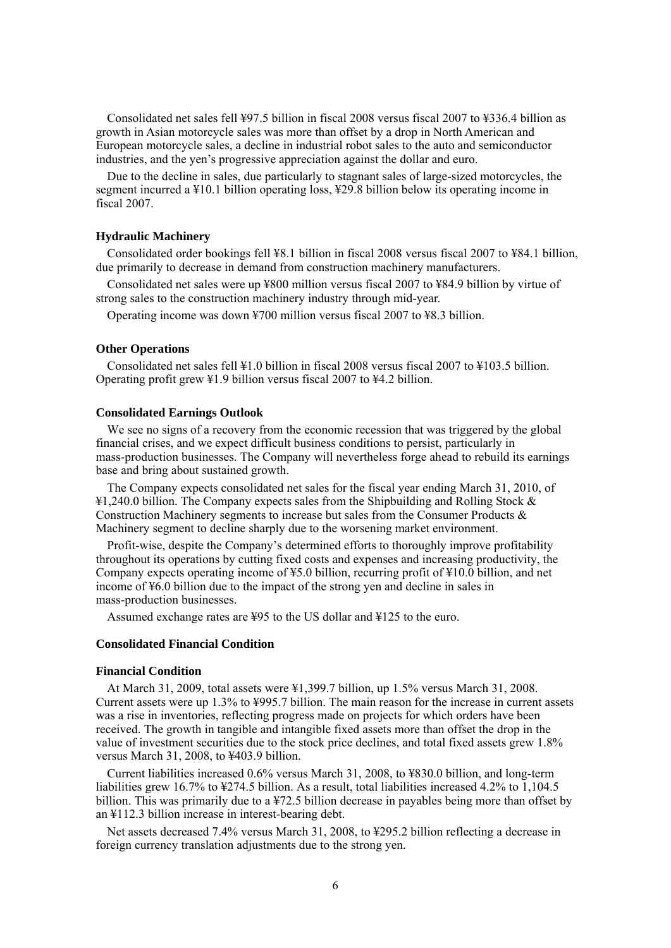Consolidated net sales fell ¥97.5 billion in fiscal 2008 versus fiscal 2007 to ¥336.4 billion as growth in Asian motorcycle sales was more than offset by a drop in North American and European motorcycle sales, a decline in industrial robot sales to the auto and semiconductor industries, and the yen's progressive appreciation against the dollar and euro.

Due to the decline in sales, due particularly to stagnant sales of large-sized motorcycles, the segment incurred a ¥10.1 billion operating loss, ¥29.8 billion below its operating income in fiscal 2007.

#### **Hydraulic Machinery**

Consolidated order bookings fell ¥8.1 billion in fiscal 2008 versus fiscal 2007 to ¥84.1 billion, due primarily to decrease in demand from construction machinery manufacturers.

Consolidated net sales were up ¥800 million versus fiscal 2007 to ¥84.9 billion by virtue of strong sales to the construction machinery industry through mid-year.

Operating income was down ¥700 million versus fiscal 2007 to ¥8.3 billion.

#### **Other Operations**

Consolidated net sales fell ¥1.0 billion in fiscal 2008 versus fiscal 2007 to ¥103.5 billion. Operating profit grew ¥1.9 billion versus fiscal 2007 to ¥4.2 billion.

### **Consolidated Earnings Outlook**

We see no signs of a recovery from the economic recession that was triggered by the global financial crises, and we expect difficult business conditions to persist, particularly in mass-production businesses. The Company will nevertheless forge ahead to rebuild its earnings base and bring about sustained growth.

The Company expects consolidated net sales for the fiscal year ending March 31, 2010, of ¥1,240.0 billion. The Company expects sales from the Shipbuilding and Rolling Stock & Construction Machinery segments to increase but sales from the Consumer Products & Machinery segment to decline sharply due to the worsening market environment.

Profit-wise, despite the Company's determined efforts to thoroughly improve profitability throughout its operations by cutting fixed costs and expenses and increasing productivity, the Company expects operating income of ¥5.0 billion, recurring profit of ¥10.0 billion, and net income of ¥6.0 billion due to the impact of the strong yen and decline in sales in mass-production businesses.

Assumed exchange rates are ¥95 to the US dollar and ¥125 to the euro.

#### **Consolidated Financial Condition**

### **Financial Condition**

At March 31, 2009, total assets were ¥1,399.7 billion, up 1.5% versus March 31, 2008. Current assets were up 1.3% to ¥995.7 billion. The main reason for the increase in current assets was a rise in inventories, reflecting progress made on projects for which orders have been received. The growth in tangible and intangible fixed assets more than offset the drop in the value of investment securities due to the stock price declines, and total fixed assets grew 1.8% versus March 31, 2008, to ¥403.9 billion.

Current liabilities increased 0.6% versus March 31, 2008, to ¥830.0 billion, and long-term liabilities grew 16.7% to ¥274.5 billion. As a result, total liabilities increased 4.2% to 1,104.5 billion. This was primarily due to a ¥72.5 billion decrease in payables being more than offset by an ¥112.3 billion increase in interest-bearing debt.

Net assets decreased 7.4% versus March 31, 2008, to ¥295.2 billion reflecting a decrease in foreign currency translation adjustments due to the strong yen.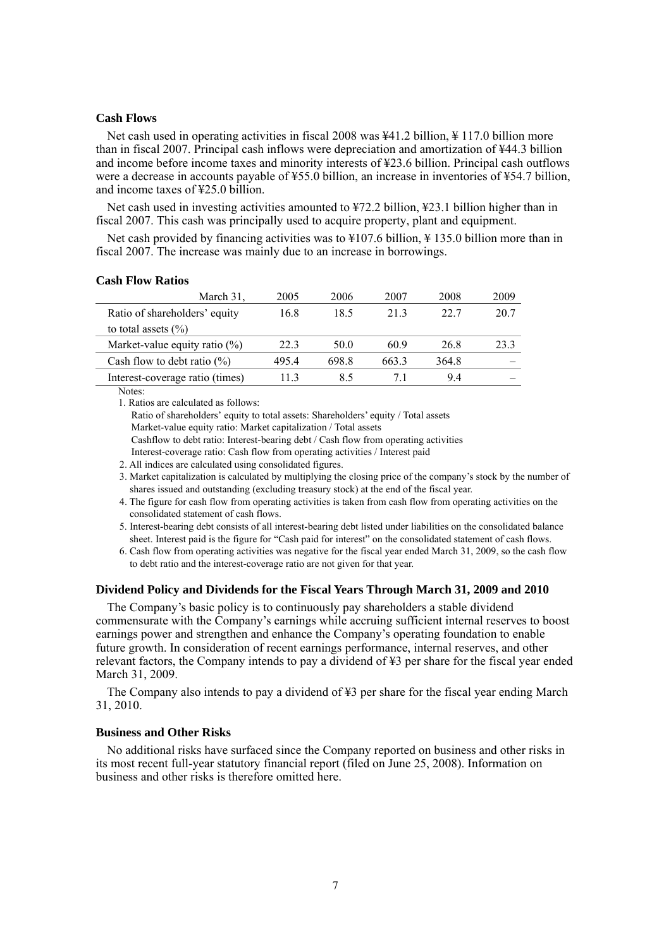### **Cash Flows**

Net cash used in operating activities in fiscal 2008 was ¥41.2 billion, ¥ 117.0 billion more than in fiscal 2007. Principal cash inflows were depreciation and amortization of ¥44.3 billion and income before income taxes and minority interests of ¥23.6 billion. Principal cash outflows were a decrease in accounts payable of ¥55.0 billion, an increase in inventories of ¥54.7 billion, and income taxes of ¥25.0 billion.

Net cash used in investing activities amounted to  $\frac{1}{2}$  a billion,  $\frac{1}{2}$  billion higher than in fiscal 2007. This cash was principally used to acquire property, plant and equipment.

Net cash provided by financing activities was to ¥107.6 billion, ¥ 135.0 billion more than in fiscal 2007. The increase was mainly due to an increase in borrowings.

#### **Cash Flow Ratios**

| March 31.                        | 2005 | 2006  | 2007  | 2008  | 2009 |
|----------------------------------|------|-------|-------|-------|------|
| Ratio of shareholders' equity    | 16.8 | 18.5  | 213   | 22.7  | 20.7 |
| to total assets $(\% )$          |      |       |       |       |      |
| Market-value equity ratio $(\%)$ | 22.3 | 50.0  | 60.9  | 26.8  | 23.3 |
| Cash flow to debt ratio $(\% )$  | 4954 | 698.8 | 663.3 | 364.8 |      |
| Interest-coverage ratio (times)  | 113  | 8.5   | 71    | 94    |      |

Notes:

1. Ratios are calculated as follows:

Ratio of shareholders' equity to total assets: Shareholders' equity / Total assets Market-value equity ratio: Market capitalization / Total assets

Cashflow to debt ratio: Interest-bearing debt / Cash flow from operating activities

Interest-coverage ratio: Cash flow from operating activities / Interest paid

2. All indices are calculated using consolidated figures.

3. Market capitalization is calculated by multiplying the closing price of the company's stock by the number of shares issued and outstanding (excluding treasury stock) at the end of the fiscal year.

- 4. The figure for cash flow from operating activities is taken from cash flow from operating activities on the consolidated statement of cash flows.
- 5. Interest-bearing debt consists of all interest-bearing debt listed under liabilities on the consolidated balance sheet. Interest paid is the figure for "Cash paid for interest" on the consolidated statement of cash flows.
- 6. Cash flow from operating activities was negative for the fiscal year ended March 31, 2009, so the cash flow to debt ratio and the interest-coverage ratio are not given for that year.

### **Dividend Policy and Dividends for the Fiscal Years Through March 31, 2009 and 2010**

The Company's basic policy is to continuously pay shareholders a stable dividend commensurate with the Company's earnings while accruing sufficient internal reserves to boost earnings power and strengthen and enhance the Company's operating foundation to enable future growth. In consideration of recent earnings performance, internal reserves, and other relevant factors, the Company intends to pay a dividend of ¥3 per share for the fiscal year ended March 31, 2009.

The Company also intends to pay a dividend of ¥3 per share for the fiscal year ending March 31, 2010.

#### **Business and Other Risks**

No additional risks have surfaced since the Company reported on business and other risks in its most recent full-year statutory financial report (filed on June 25, 2008). Information on business and other risks is therefore omitted here.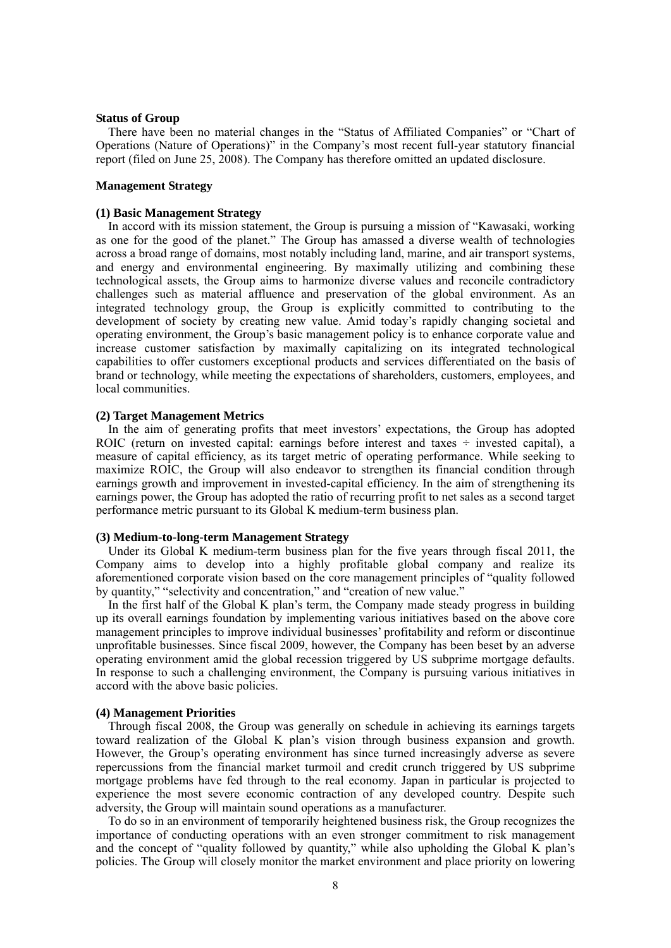#### **Status of Group**

There have been no material changes in the "Status of Affiliated Companies" or "Chart of Operations (Nature of Operations)" in the Company's most recent full-year statutory financial report (filed on June 25, 2008). The Company has therefore omitted an updated disclosure.

#### **Management Strategy**

#### **(1) Basic Management Strategy**

In accord with its mission statement, the Group is pursuing a mission of "Kawasaki, working as one for the good of the planet." The Group has amassed a diverse wealth of technologies across a broad range of domains, most notably including land, marine, and air transport systems, and energy and environmental engineering. By maximally utilizing and combining these technological assets, the Group aims to harmonize diverse values and reconcile contradictory challenges such as material affluence and preservation of the global environment. As an integrated technology group, the Group is explicitly committed to contributing to the development of society by creating new value. Amid today's rapidly changing societal and operating environment, the Group's basic management policy is to enhance corporate value and increase customer satisfaction by maximally capitalizing on its integrated technological capabilities to offer customers exceptional products and services differentiated on the basis of brand or technology, while meeting the expectations of shareholders, customers, employees, and local communities.

#### **(2) Target Management Metrics**

In the aim of generating profits that meet investors' expectations, the Group has adopted ROIC (return on invested capital: earnings before interest and taxes  $\div$  invested capital), a measure of capital efficiency, as its target metric of operating performance. While seeking to maximize ROIC, the Group will also endeavor to strengthen its financial condition through earnings growth and improvement in invested-capital efficiency. In the aim of strengthening its earnings power, the Group has adopted the ratio of recurring profit to net sales as a second target performance metric pursuant to its Global K medium-term business plan.

#### **(3) Medium-to-long-term Management Strategy**

Under its Global K medium-term business plan for the five years through fiscal 2011, the Company aims to develop into a highly profitable global company and realize its aforementioned corporate vision based on the core management principles of "quality followed by quantity," "selectivity and concentration," and "creation of new value."

In the first half of the Global K plan's term, the Company made steady progress in building up its overall earnings foundation by implementing various initiatives based on the above core management principles to improve individual businesses' profitability and reform or discontinue unprofitable businesses. Since fiscal 2009, however, the Company has been beset by an adverse operating environment amid the global recession triggered by US subprime mortgage defaults. In response to such a challenging environment, the Company is pursuing various initiatives in accord with the above basic policies.

#### **(4) Management Priorities**

Through fiscal 2008, the Group was generally on schedule in achieving its earnings targets toward realization of the Global K plan's vision through business expansion and growth. However, the Group's operating environment has since turned increasingly adverse as severe repercussions from the financial market turmoil and credit crunch triggered by US subprime mortgage problems have fed through to the real economy. Japan in particular is projected to experience the most severe economic contraction of any developed country. Despite such adversity, the Group will maintain sound operations as a manufacturer.

To do so in an environment of temporarily heightened business risk, the Group recognizes the importance of conducting operations with an even stronger commitment to risk management and the concept of "quality followed by quantity," while also upholding the Global K plan's policies. The Group will closely monitor the market environment and place priority on lowering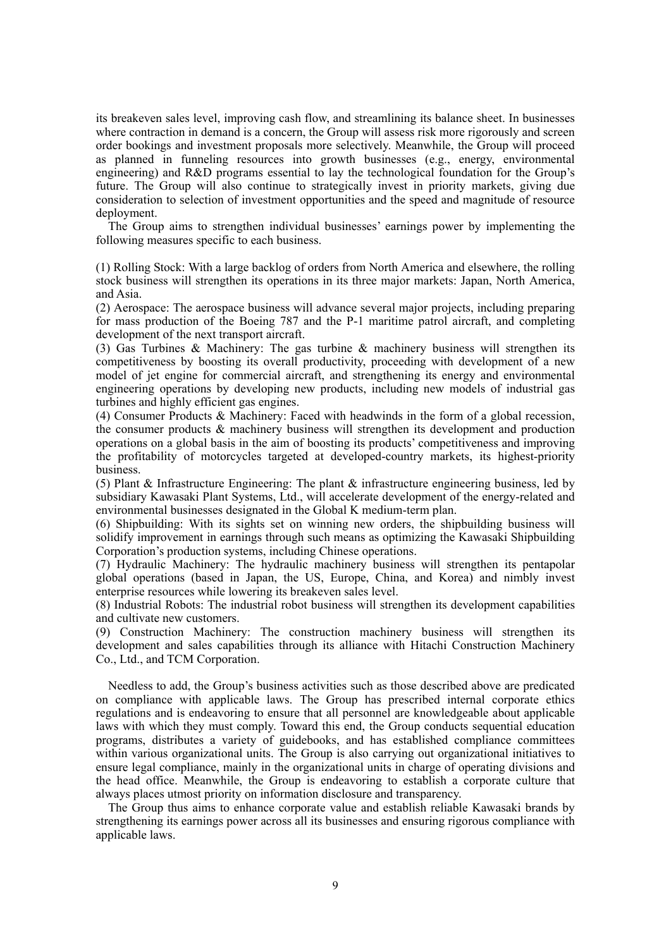its breakeven sales level, improving cash flow, and streamlining its balance sheet. In businesses where contraction in demand is a concern, the Group will assess risk more rigorously and screen order bookings and investment proposals more selectively. Meanwhile, the Group will proceed as planned in funneling resources into growth businesses (e.g., energy, environmental engineering) and R&D programs essential to lay the technological foundation for the Group's future. The Group will also continue to strategically invest in priority markets, giving due consideration to selection of investment opportunities and the speed and magnitude of resource deployment.

The Group aims to strengthen individual businesses' earnings power by implementing the following measures specific to each business.

(1) Rolling Stock: With a large backlog of orders from North America and elsewhere, the rolling stock business will strengthen its operations in its three major markets: Japan, North America, and Asia.

(2) Aerospace: The aerospace business will advance several major projects, including preparing for mass production of the Boeing 787 and the P-1 maritime patrol aircraft, and completing development of the next transport aircraft.

(3) Gas Turbines & Machinery: The gas turbine & machinery business will strengthen its competitiveness by boosting its overall productivity, proceeding with development of a new model of jet engine for commercial aircraft, and strengthening its energy and environmental engineering operations by developing new products, including new models of industrial gas turbines and highly efficient gas engines.

(4) Consumer Products & Machinery: Faced with headwinds in the form of a global recession, the consumer products & machinery business will strengthen its development and production operations on a global basis in the aim of boosting its products' competitiveness and improving the profitability of motorcycles targeted at developed-country markets, its highest-priority business.

(5) Plant & Infrastructure Engineering: The plant  $\&$  infrastructure engineering business, led by subsidiary Kawasaki Plant Systems, Ltd., will accelerate development of the energy-related and environmental businesses designated in the Global K medium-term plan.

(6) Shipbuilding: With its sights set on winning new orders, the shipbuilding business will solidify improvement in earnings through such means as optimizing the Kawasaki Shipbuilding Corporation's production systems, including Chinese operations.

(7) Hydraulic Machinery: The hydraulic machinery business will strengthen its pentapolar global operations (based in Japan, the US, Europe, China, and Korea) and nimbly invest enterprise resources while lowering its breakeven sales level.

(8) Industrial Robots: The industrial robot business will strengthen its development capabilities and cultivate new customers.

(9) Construction Machinery: The construction machinery business will strengthen its development and sales capabilities through its alliance with Hitachi Construction Machinery Co., Ltd., and TCM Corporation.

Needless to add, the Group's business activities such as those described above are predicated on compliance with applicable laws. The Group has prescribed internal corporate ethics regulations and is endeavoring to ensure that all personnel are knowledgeable about applicable laws with which they must comply. Toward this end, the Group conducts sequential education programs, distributes a variety of guidebooks, and has established compliance committees within various organizational units. The Group is also carrying out organizational initiatives to ensure legal compliance, mainly in the organizational units in charge of operating divisions and the head office. Meanwhile, the Group is endeavoring to establish a corporate culture that always places utmost priority on information disclosure and transparency.

The Group thus aims to enhance corporate value and establish reliable Kawasaki brands by strengthening its earnings power across all its businesses and ensuring rigorous compliance with applicable laws.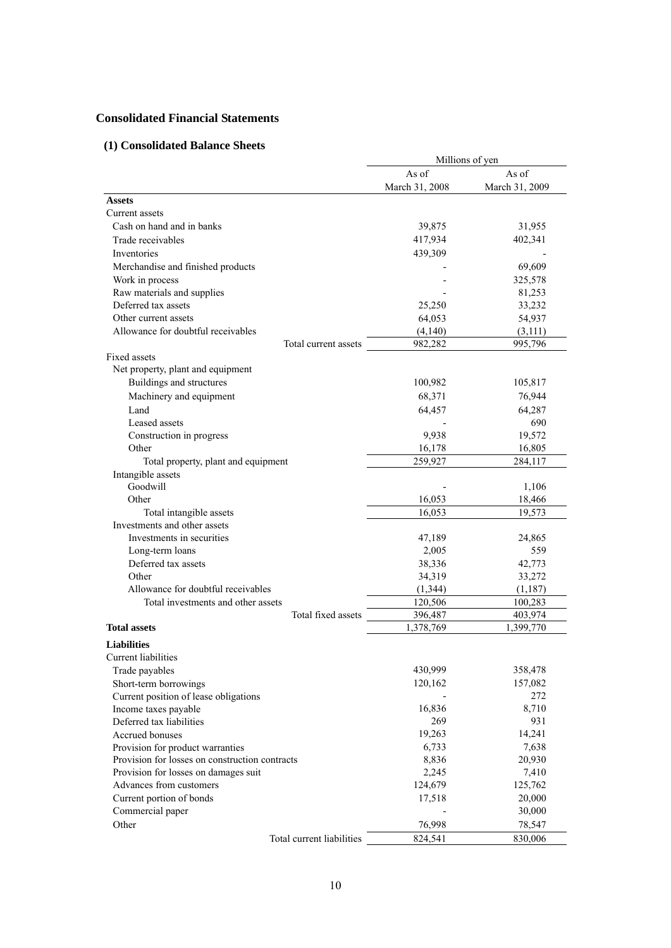# **Consolidated Financial Statements**

# **(1) Consolidated Balance Sheets**

|                                                |                | Millions of yen |
|------------------------------------------------|----------------|-----------------|
|                                                | As of          | As of           |
|                                                | March 31, 2008 | March 31, 2009  |
| <b>Assets</b>                                  |                |                 |
| Current assets                                 |                |                 |
| Cash on hand and in banks                      | 39,875         | 31,955          |
| Trade receivables                              | 417,934        | 402,341         |
| Inventories                                    | 439,309        |                 |
| Merchandise and finished products              |                | 69,609          |
| Work in process                                |                | 325,578         |
| Raw materials and supplies                     |                | 81,253          |
| Deferred tax assets                            | 25,250         | 33,232          |
| Other current assets                           | 64,053         | 54,937          |
| Allowance for doubtful receivables             | (4,140)        | (3, 111)        |
| Total current assets                           | 982,282        | 995,796         |
| <b>Fixed assets</b>                            |                |                 |
| Net property, plant and equipment              |                |                 |
| Buildings and structures                       | 100,982        | 105,817         |
| Machinery and equipment                        | 68,371         | 76,944          |
| Land                                           | 64,457         | 64,287          |
| Leased assets                                  |                | 690             |
| Construction in progress                       | 9,938          | 19,572          |
| Other                                          | 16,178         | 16,805          |
| Total property, plant and equipment            | 259,927        | 284,117         |
| Intangible assets                              |                |                 |
| Goodwill                                       |                | 1,106           |
| Other                                          | 16,053         | 18,466          |
| Total intangible assets                        | 16,053         | 19,573          |
| Investments and other assets                   |                |                 |
| Investments in securities                      | 47,189         | 24,865          |
| Long-term loans                                | 2,005          | 559             |
| Deferred tax assets                            | 38,336         | 42,773          |
| Other                                          | 34,319         | 33,272          |
| Allowance for doubtful receivables             | (1, 344)       | (1,187)         |
| Total investments and other assets             | 120,506        | 100,283         |
| Total fixed assets                             | 396,487        | 403,974         |
| <b>Total assets</b>                            | 1,378,769      | 1,399,770       |
| <b>Liabilities</b>                             |                |                 |
| Current liabilities                            |                |                 |
|                                                | 430,999        | 358,478         |
| Trade payables<br>Short-term borrowings        | 120,162        | 157,082         |
| Current position of lease obligations          |                | 272             |
| Income taxes payable                           | 16,836         | 8,710           |
| Deferred tax liabilities                       | 269            | 931             |
| Accrued bonuses                                | 19,263         | 14,241          |
| Provision for product warranties               | 6,733          | 7,638           |
| Provision for losses on construction contracts | 8,836          | 20,930          |
| Provision for losses on damages suit           | 2,245          | 7,410           |
| Advances from customers                        | 124,679        | 125,762         |
| Current portion of bonds                       | 17,518         | 20,000          |
| Commercial paper                               |                | 30,000          |
|                                                |                |                 |
| Other                                          | 76,998         | 78,547          |
| Total current liabilities                      | 824,541        | 830,006         |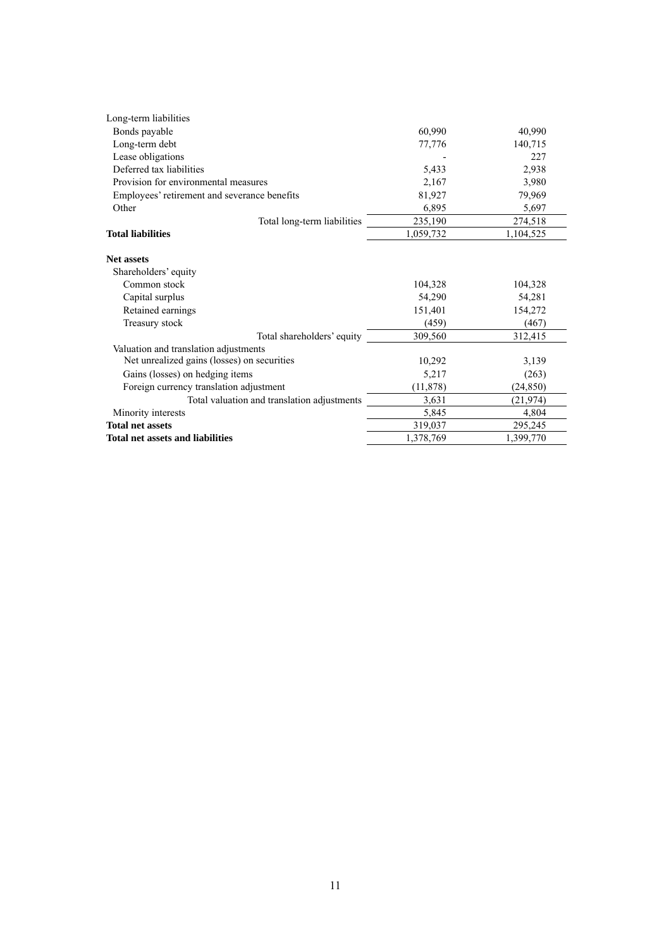| Long-term liabilities                        |           |           |
|----------------------------------------------|-----------|-----------|
| Bonds payable                                | 60,990    | 40,990    |
| Long-term debt                               | 77,776    | 140,715   |
| Lease obligations                            |           | 227       |
| Deferred tax liabilities                     | 5,433     | 2,938     |
| Provision for environmental measures         | 2,167     | 3,980     |
| Employees' retirement and severance benefits | 81,927    | 79,969    |
| Other                                        | 6,895     | 5,697     |
| Total long-term liabilities                  | 235,190   | 274,518   |
| <b>Total liabilities</b>                     | 1,059,732 | 1,104,525 |
| <b>Net assets</b><br>Shareholders' equity    |           |           |
| Common stock                                 | 104,328   | 104,328   |
| Capital surplus                              | 54,290    | 54,281    |
| Retained earnings                            | 151,401   | 154,272   |
| Treasury stock                               | (459)     | (467)     |
| Total shareholders' equity                   | 309,560   | 312,415   |
| Valuation and translation adjustments        |           |           |
| Net unrealized gains (losses) on securities  | 10,292    | 3,139     |
| Gains (losses) on hedging items              | 5,217     | (263)     |
| Foreign currency translation adjustment      | (11, 878) | (24, 850) |
| Total valuation and translation adjustments  | 3,631     | (21, 974) |
| Minority interests                           | 5,845     | 4,804     |
| <b>Total net assets</b>                      | 319,037   | 295,245   |
| <b>Total net assets and liabilities</b>      | 1,378,769 | 1,399,770 |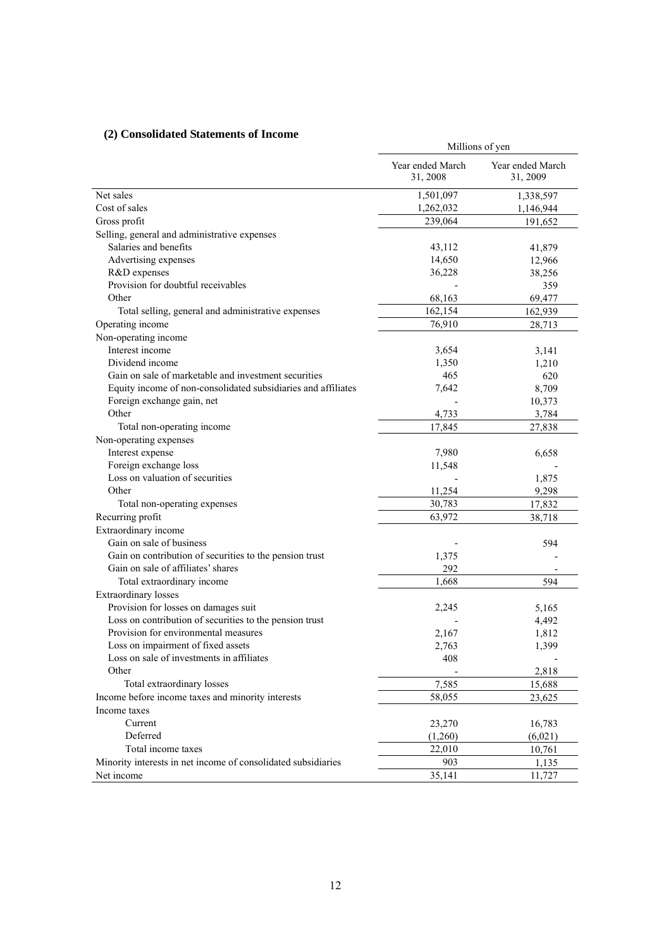# **(2) Consolidated Statements of Income**

| $(z)$ consolidated statements of income                       |                              | Millions of yen              |  |  |  |
|---------------------------------------------------------------|------------------------------|------------------------------|--|--|--|
|                                                               | Year ended March<br>31, 2008 | Year ended March<br>31, 2009 |  |  |  |
| Net sales                                                     | 1,501,097                    | 1,338,597                    |  |  |  |
| Cost of sales                                                 | 1,262,032                    | 1,146,944                    |  |  |  |
| Gross profit                                                  | 239,064                      | 191,652                      |  |  |  |
| Selling, general and administrative expenses                  |                              |                              |  |  |  |
| Salaries and benefits                                         | 43,112                       | 41,879                       |  |  |  |
| Advertising expenses                                          | 14,650                       | 12,966                       |  |  |  |
| R&D expenses                                                  | 36,228                       | 38,256                       |  |  |  |
| Provision for doubtful receivables                            |                              | 359                          |  |  |  |
| Other                                                         | 68,163                       | 69,477                       |  |  |  |
| Total selling, general and administrative expenses            | 162,154                      | 162,939                      |  |  |  |
| Operating income                                              | 76,910                       | 28,713                       |  |  |  |
| Non-operating income                                          |                              |                              |  |  |  |
| Interest income                                               | 3,654                        | 3,141                        |  |  |  |
| Dividend income                                               | 1,350                        | 1,210                        |  |  |  |
| Gain on sale of marketable and investment securities          | 465                          | 620                          |  |  |  |
| Equity income of non-consolidated subsidiaries and affiliates | 7,642                        | 8,709                        |  |  |  |
| Foreign exchange gain, net                                    |                              | 10,373                       |  |  |  |
| Other                                                         | 4,733                        | 3,784                        |  |  |  |
| Total non-operating income                                    | 17,845                       | 27,838                       |  |  |  |
| Non-operating expenses                                        |                              |                              |  |  |  |
| Interest expense                                              | 7,980                        | 6,658                        |  |  |  |
| Foreign exchange loss                                         | 11,548                       |                              |  |  |  |
| Loss on valuation of securities                               |                              | 1,875                        |  |  |  |
| Other                                                         | 11,254                       | 9,298                        |  |  |  |
| Total non-operating expenses                                  | 30,783                       | 17,832                       |  |  |  |
| Recurring profit                                              | 63,972                       | 38,718                       |  |  |  |
| Extraordinary income                                          |                              |                              |  |  |  |
| Gain on sale of business                                      |                              | 594                          |  |  |  |
| Gain on contribution of securities to the pension trust       | 1,375                        |                              |  |  |  |
| Gain on sale of affiliates' shares                            | 292                          |                              |  |  |  |
| Total extraordinary income                                    | 1,668                        | 594                          |  |  |  |
| <b>Extraordinary losses</b>                                   |                              |                              |  |  |  |
| Provision for losses on damages suit                          | 2,245                        | 5,165                        |  |  |  |
| Loss on contribution of securities to the pension trust       |                              | 4,492                        |  |  |  |
| Provision for environmental measures                          | 2,167                        | 1,812                        |  |  |  |
| Loss on impairment of fixed assets                            | 2,763                        | 1,399                        |  |  |  |
| Loss on sale of investments in affiliates                     | 408                          |                              |  |  |  |
| Other                                                         |                              | 2,818                        |  |  |  |
| Total extraordinary losses                                    | 7,585                        | 15,688                       |  |  |  |
| Income before income taxes and minority interests             | 58,055                       | 23,625                       |  |  |  |
| Income taxes                                                  |                              |                              |  |  |  |
| Current                                                       | 23,270                       | 16,783                       |  |  |  |
| Deferred                                                      | (1,260)                      | (6,021)                      |  |  |  |
| Total income taxes                                            | 22,010                       | 10,761                       |  |  |  |
| Minority interests in net income of consolidated subsidiaries | 903                          | 1,135                        |  |  |  |
| Net income                                                    | 35,141                       | 11,727                       |  |  |  |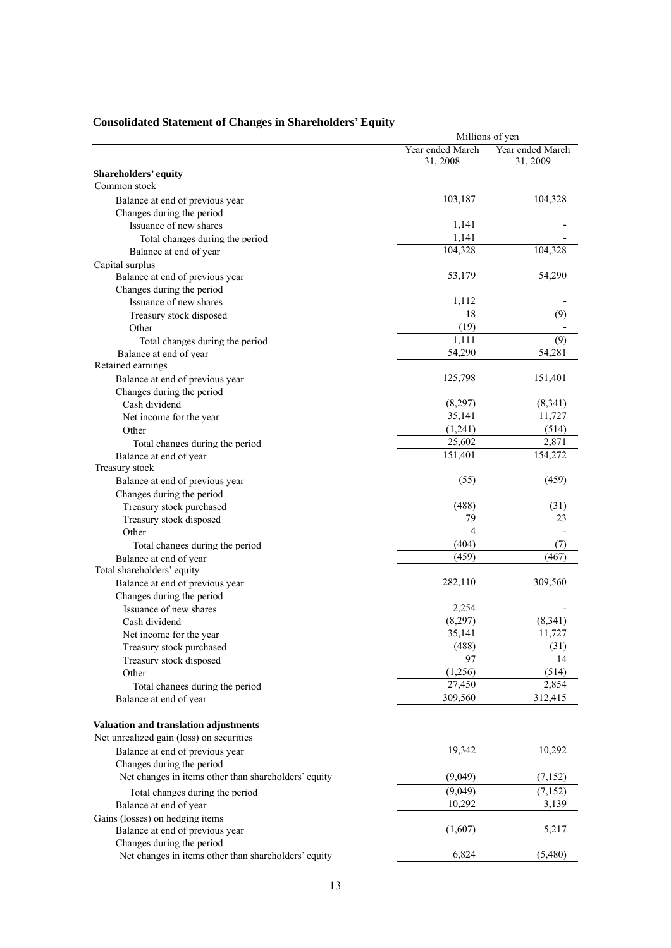|                                                      |                              | Millions of yen              |
|------------------------------------------------------|------------------------------|------------------------------|
|                                                      | Year ended March<br>31, 2008 | Year ended March<br>31, 2009 |
| Shareholders' equity                                 |                              |                              |
| Common stock                                         |                              |                              |
| Balance at end of previous year                      | 103,187                      | 104,328                      |
| Changes during the period                            |                              |                              |
| Issuance of new shares                               | 1,141                        |                              |
| Total changes during the period                      | 1,141                        |                              |
| Balance at end of year                               | 104,328                      | 104,328                      |
| Capital surplus                                      |                              |                              |
| Balance at end of previous year                      | 53,179                       | 54,290                       |
| Changes during the period                            |                              |                              |
| Issuance of new shares                               | 1,112                        |                              |
| Treasury stock disposed                              | 18                           | (9)                          |
| Other                                                | (19)                         |                              |
| Total changes during the period                      | 1,111                        | (9)                          |
| Balance at end of year                               | 54,290                       | 54,281                       |
| Retained earnings                                    |                              |                              |
| Balance at end of previous year                      | 125,798                      | 151,401                      |
| Changes during the period                            |                              |                              |
| Cash dividend                                        | (8,297)                      | (8,341)                      |
| Net income for the year                              | 35,141                       | 11,727                       |
| Other                                                | (1,241)                      | (514)                        |
| Total changes during the period                      | 25,602                       | 2,871                        |
| Balance at end of year                               | 151,401                      | 154,272                      |
| Treasury stock                                       |                              |                              |
|                                                      | (55)                         | (459)                        |
| Balance at end of previous year                      |                              |                              |
| Changes during the period                            | (488)                        | (31)                         |
| Treasury stock purchased                             | 79                           | 23                           |
| Treasury stock disposed                              | 4                            |                              |
| Other                                                | (404)                        |                              |
| Total changes during the period                      |                              | (7)                          |
| Balance at end of year                               | (459)                        | (467)                        |
| Total shareholders' equity                           |                              |                              |
| Balance at end of previous year                      | 282,110                      | 309,560                      |
| Changes during the period                            |                              |                              |
| Issuance of new shares                               | 2,254                        |                              |
| Cash dividend                                        | (8,297)                      | (8,341)                      |
| Net income for the year                              | 35,141                       | 11,727                       |
| Treasury stock purchased                             | (488)                        | (31)                         |
| Treasury stock disposed                              | 97                           | 14                           |
| Other                                                | (1,256)                      | (514)                        |
| Total changes during the period                      | 27,450                       | 2,854                        |
| Balance at end of year                               | 309,560                      | 312,415                      |
|                                                      |                              |                              |
| Valuation and translation adjustments                |                              |                              |
| Net unrealized gain (loss) on securities             |                              |                              |
| Balance at end of previous year                      | 19,342                       | 10,292                       |
| Changes during the period                            |                              |                              |
| Net changes in items other than shareholders' equity | (9,049)                      | (7,152)                      |
| Total changes during the period                      | (9,049)                      | (7, 152)                     |
| Balance at end of year                               | 10,292                       | 3,139                        |
| Gains (losses) on hedging items                      |                              |                              |
| Balance at end of previous year                      | (1,607)                      | 5,217                        |
| Changes during the period                            |                              |                              |
| Net changes in items other than shareholders' equity | 6,824                        | (5,480)                      |

# **Consolidated Statement of Changes in Shareholders' Equity**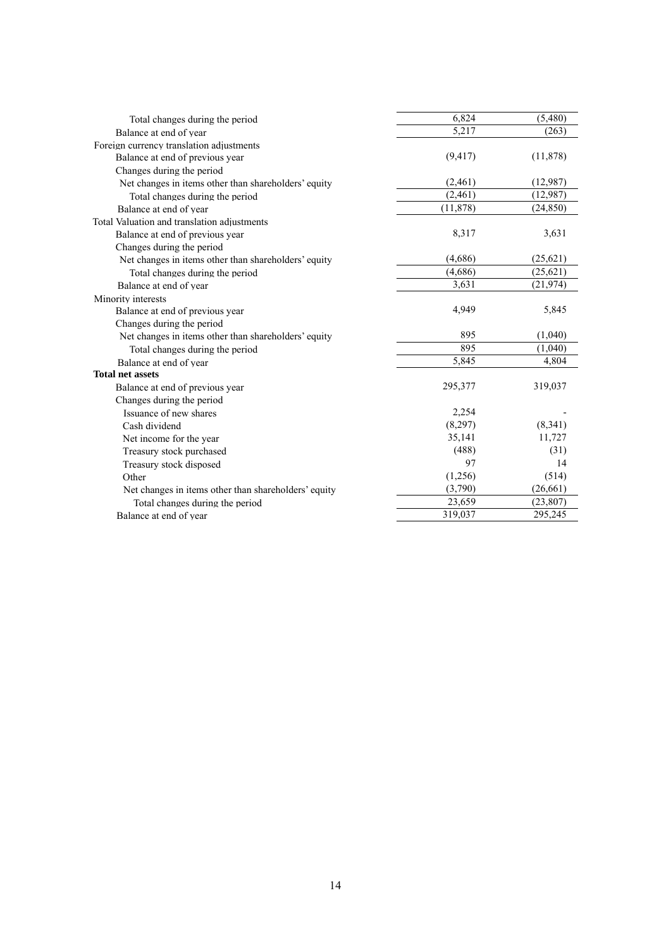| Total changes during the period                      | 6,824     | (5,480)   |
|------------------------------------------------------|-----------|-----------|
| Balance at end of year                               | 5,217     | (263)     |
| Foreign currency translation adjustments             |           |           |
| Balance at end of previous year                      | (9, 417)  | (11, 878) |
| Changes during the period                            |           |           |
| Net changes in items other than shareholders' equity | (2,461)   | (12,987)  |
| Total changes during the period                      | (2,461)   | (12,987)  |
| Balance at end of year                               | (11, 878) | (24, 850) |
| Total Valuation and translation adjustments          |           |           |
| Balance at end of previous year                      | 8,317     | 3,631     |
| Changes during the period                            |           |           |
| Net changes in items other than shareholders' equity | (4,686)   | (25,621)  |
| Total changes during the period                      | (4,686)   | (25, 621) |
| Balance at end of year                               | 3,631     | (21, 974) |
| Minority interests                                   |           |           |
| Balance at end of previous year                      | 4,949     | 5,845     |
| Changes during the period                            |           |           |
| Net changes in items other than shareholders' equity | 895       | (1,040)   |
| Total changes during the period                      | 895       | (1,040)   |
| Balance at end of year                               | 5,845     | 4,804     |
| <b>Total net assets</b>                              |           |           |
| Balance at end of previous year                      | 295,377   | 319,037   |
| Changes during the period                            |           |           |
| Issuance of new shares                               | 2,254     |           |
| Cash dividend                                        | (8,297)   | (8,341)   |
| Net income for the year                              | 35,141    | 11,727    |
| Treasury stock purchased                             | (488)     | (31)      |
| Treasury stock disposed                              | 97        | 14        |
| Other                                                | (1,256)   | (514)     |
| Net changes in items other than shareholders' equity | (3,790)   | (26, 661) |
| Total changes during the period                      | 23,659    | (23, 807) |
| Balance at end of year                               | 319,037   | 295,245   |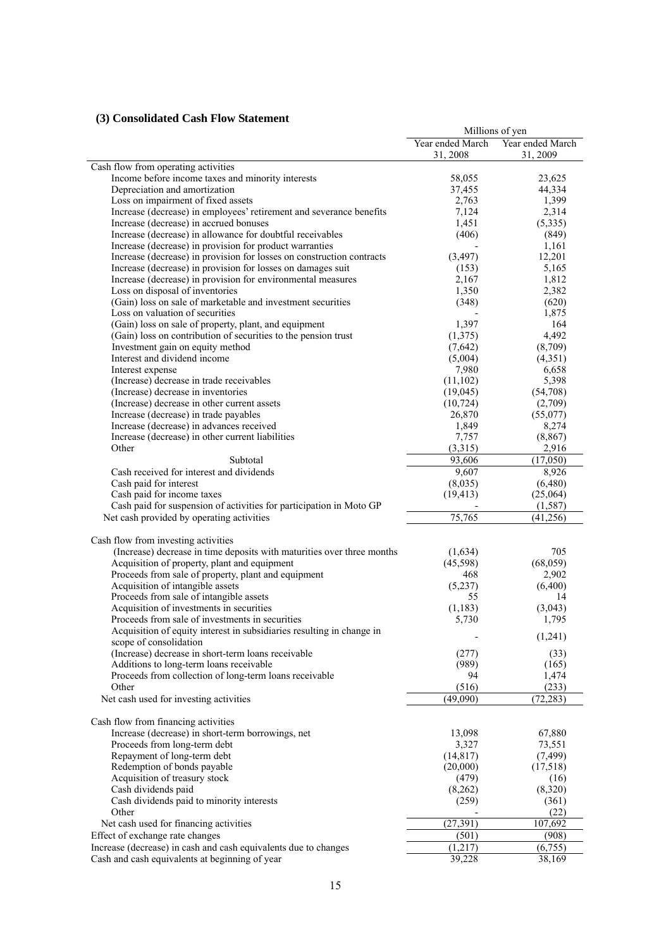# **(3) Consolidated Cash Flow Statement**

|                                                                        |                  | Millions of yen  |
|------------------------------------------------------------------------|------------------|------------------|
|                                                                        | Year ended March | Year ended March |
|                                                                        | 31, 2008         | 31, 2009         |
| Cash flow from operating activities                                    |                  |                  |
| Income before income taxes and minority interests                      | 58,055           | 23,625           |
| Depreciation and amortization                                          | 37,455           | 44,334           |
| Loss on impairment of fixed assets                                     | 2,763            | 1,399            |
| Increase (decrease) in employees' retirement and severance benefits    | 7,124            | 2,314            |
| Increase (decrease) in accrued bonuses                                 | 1,451            | (5,335)          |
| Increase (decrease) in allowance for doubtful receivables              | (406)            | (849)            |
| Increase (decrease) in provision for product warranties                |                  | 1,161            |
| Increase (decrease) in provision for losses on construction contracts  | (3, 497)         | 12,201           |
| Increase (decrease) in provision for losses on damages suit            | (153)            | 5,165            |
| Increase (decrease) in provision for environmental measures            | 2,167            | 1,812            |
| Loss on disposal of inventories                                        | 1,350            | 2,382            |
| (Gain) loss on sale of marketable and investment securities            | (348)            | (620)            |
| Loss on valuation of securities                                        |                  | 1,875            |
| (Gain) loss on sale of property, plant, and equipment                  | 1,397            | 164              |
| (Gain) loss on contribution of securities to the pension trust         | (1,375)          | 4,492            |
| Investment gain on equity method                                       | (7,642)          | (8,709)          |
| Interest and dividend income                                           | (5,004)          | (4,351)          |
| Interest expense                                                       | 7,980            | 6,658            |
| (Increase) decrease in trade receivables                               | (11, 102)        | 5,398            |
| (Increase) decrease in inventories                                     | (19,045)         | (54,708)         |
| (Increase) decrease in other current assets                            | (10, 724)        | (2,709)          |
| Increase (decrease) in trade payables                                  | 26,870           | (55,077)         |
| Increase (decrease) in advances received                               | 1,849            | 8,274            |
| Increase (decrease) in other current liabilities                       | 7,757            | (8, 867)         |
| Other                                                                  | (3,315)          | 2,916            |
| Subtotal                                                               | 93,606           | (17,050)         |
| Cash received for interest and dividends                               | 9,607            | 8,926            |
| Cash paid for interest                                                 | (8,035)          | (6,480)          |
| Cash paid for income taxes                                             | (19, 413)        | (25,064)         |
| Cash paid for suspension of activities for participation in Moto GP    |                  | (1, 587)         |
| Net cash provided by operating activities                              | 75,765           | (41, 256)        |
|                                                                        |                  |                  |
| Cash flow from investing activities                                    |                  |                  |
| (Increase) decrease in time deposits with maturities over three months | (1,634)          | 705              |
| Acquisition of property, plant and equipment                           | (45,598)         | (68, 059)        |
| Proceeds from sale of property, plant and equipment                    | 468              | 2,902            |
| Acquisition of intangible assets                                       | (5,237)          | (6,400)          |
| Proceeds from sale of intangible assets                                | 55               | 14               |
| Acquisition of investments in securities                               | (1,183)          | (3,043)          |
| Proceeds from sale of investments in securities                        | 5,730            | 1,795            |
| Acquisition of equity interest in subsidiaries resulting in change in  |                  |                  |
| scope of consolidation                                                 |                  | (1,241)          |
| (Increase) decrease in short-term loans receivable                     | (277)            | (33)             |
| Additions to long-term loans receivable                                | (989)            | (165)            |
| Proceeds from collection of long-term loans receivable                 | 94               | 1,474            |
| Other                                                                  | (516)            | (233)            |
| Net cash used for investing activities                                 | (49,090)         | (72, 283)        |
|                                                                        |                  |                  |
| Cash flow from financing activities                                    |                  |                  |
| Increase (decrease) in short-term borrowings, net                      | 13,098           | 67,880           |
| Proceeds from long-term debt                                           | 3,327            | 73,551           |
| Repayment of long-term debt                                            | (14, 817)        | (7, 499)         |
| Redemption of bonds payable                                            | (20,000)         | (17,518)         |
| Acquisition of treasury stock                                          | (479)            | (16)             |
| Cash dividends paid                                                    | (8,262)          | (8,320)          |
| Cash dividends paid to minority interests                              | (259)            | (361)            |
| Other                                                                  |                  | (22)             |
| Net cash used for financing activities                                 | (27, 391)        | 107,692          |
| Effect of exchange rate changes                                        | (501)            | (908)            |
| Increase (decrease) in cash and cash equivalents due to changes        | (1,217)          | (6,755)          |
| Cash and cash equivalents at beginning of year                         | 39,228           | 38,169           |
|                                                                        |                  |                  |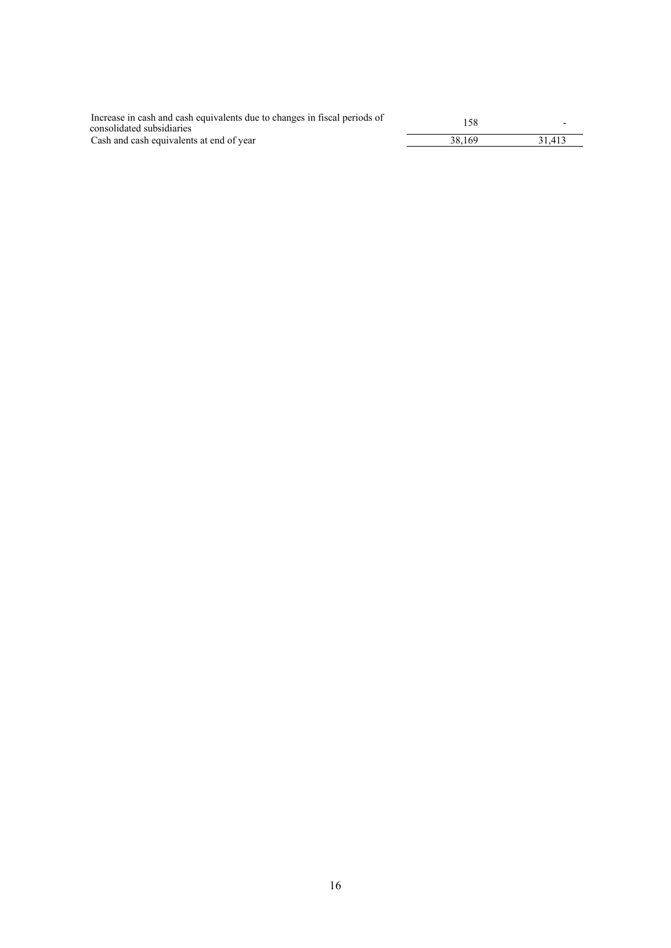| Increase in cash and cash equivalents due to changes in fiscal periods of<br>consolidated subsidiaries | 158    |        |
|--------------------------------------------------------------------------------------------------------|--------|--------|
| Cash and cash equivalents at end of year                                                               | 38.169 | 31.413 |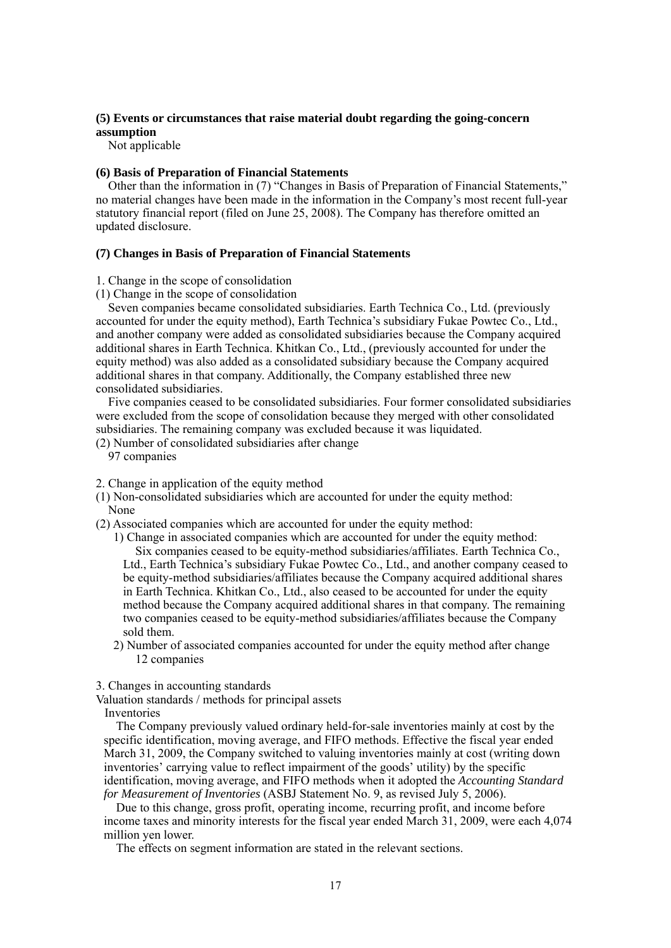### **(5) Events or circumstances that raise material doubt regarding the going-concern assumption**

Not applicable

### **(6) Basis of Preparation of Financial Statements**

Other than the information in (7) "Changes in Basis of Preparation of Financial Statements," no material changes have been made in the information in the Company's most recent full-year statutory financial report (filed on June 25, 2008). The Company has therefore omitted an updated disclosure.

### **(7) Changes in Basis of Preparation of Financial Statements**

1. Change in the scope of consolidation

(1) Change in the scope of consolidation

Seven companies became consolidated subsidiaries. Earth Technica Co., Ltd. (previously accounted for under the equity method), Earth Technica's subsidiary Fukae Powtec Co., Ltd., and another company were added as consolidated subsidiaries because the Company acquired additional shares in Earth Technica. Khitkan Co., Ltd., (previously accounted for under the equity method) was also added as a consolidated subsidiary because the Company acquired additional shares in that company. Additionally, the Company established three new consolidated subsidiaries.

Five companies ceased to be consolidated subsidiaries. Four former consolidated subsidiaries were excluded from the scope of consolidation because they merged with other consolidated subsidiaries. The remaining company was excluded because it was liquidated.

- (2) Number of consolidated subsidiaries after change
	- 97 companies

2. Change in application of the equity method

- (1) Non-consolidated subsidiaries which are accounted for under the equity method: None
- (2) Associated companies which are accounted for under the equity method:

1) Change in associated companies which are accounted for under the equity method: Six companies ceased to be equity-method subsidiaries/affiliates. Earth Technica Co., Ltd., Earth Technica's subsidiary Fukae Powtec Co., Ltd., and another company ceased to be equity-method subsidiaries/affiliates because the Company acquired additional shares in Earth Technica. Khitkan Co., Ltd., also ceased to be accounted for under the equity method because the Company acquired additional shares in that company. The remaining two companies ceased to be equity-method subsidiaries/affiliates because the Company sold them.

2) Number of associated companies accounted for under the equity method after change 12 companies

3. Changes in accounting standards

Valuation standards / methods for principal assets

Inventories

The Company previously valued ordinary held-for-sale inventories mainly at cost by the specific identification, moving average, and FIFO methods. Effective the fiscal year ended March 31, 2009, the Company switched to valuing inventories mainly at cost (writing down inventories' carrying value to reflect impairment of the goods' utility) by the specific identification, moving average, and FIFO methods when it adopted the *Accounting Standard for Measurement of Inventories* (ASBJ Statement No. 9, as revised July 5, 2006).

Due to this change, gross profit, operating income, recurring profit, and income before income taxes and minority interests for the fiscal year ended March 31, 2009, were each 4,074 million yen lower.

The effects on segment information are stated in the relevant sections.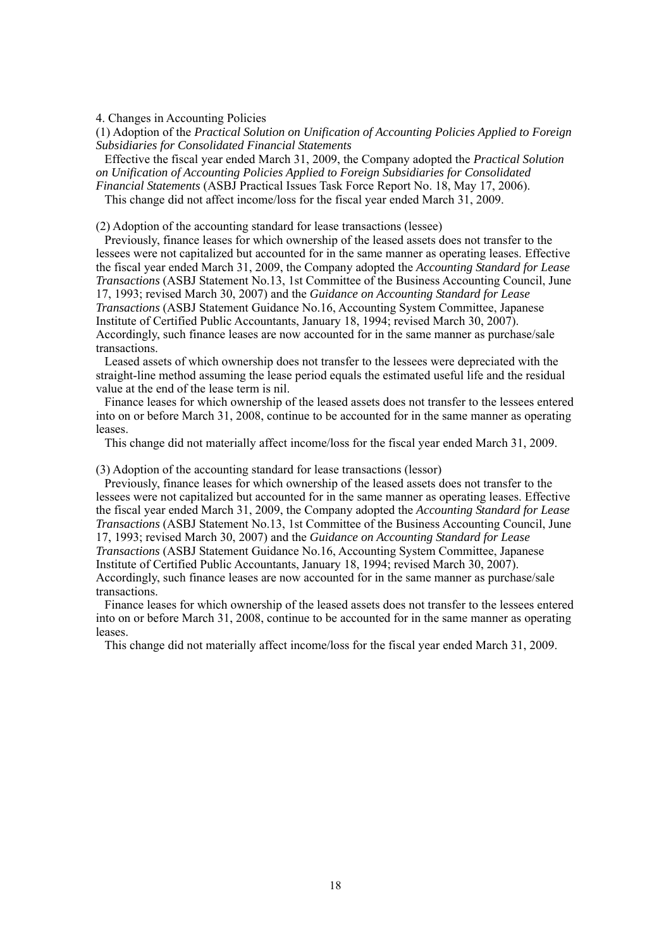4. Changes in Accounting Policies

(1) Adoption of the *Practical Solution on Unification of Accounting Policies Applied to Foreign Subsidiaries for Consolidated Financial Statements* 

Effective the fiscal year ended March 31, 2009, the Company adopted the *Practical Solution on Unification of Accounting Policies Applied to Foreign Subsidiaries for Consolidated* 

*Financial Statements* (ASBJ Practical Issues Task Force Report No. 18, May 17, 2006). This change did not affect income/loss for the fiscal year ended March 31, 2009.

(2) Adoption of the accounting standard for lease transactions (lessee)

Previously, finance leases for which ownership of the leased assets does not transfer to the lessees were not capitalized but accounted for in the same manner as operating leases. Effective the fiscal year ended March 31, 2009, the Company adopted the *Accounting Standard for Lease Transactions* (ASBJ Statement No.13, 1st Committee of the Business Accounting Council, June 17, 1993; revised March 30, 2007) and the *Guidance on Accounting Standard for Lease Transactions* (ASBJ Statement Guidance No.16, Accounting System Committee, Japanese Institute of Certified Public Accountants, January 18, 1994; revised March 30, 2007). Accordingly, such finance leases are now accounted for in the same manner as purchase/sale transactions.

Leased assets of which ownership does not transfer to the lessees were depreciated with the straight-line method assuming the lease period equals the estimated useful life and the residual value at the end of the lease term is nil.

Finance leases for which ownership of the leased assets does not transfer to the lessees entered into on or before March 31, 2008, continue to be accounted for in the same manner as operating leases.

This change did not materially affect income/loss for the fiscal year ended March 31, 2009.

(3) Adoption of the accounting standard for lease transactions (lessor)

Previously, finance leases for which ownership of the leased assets does not transfer to the lessees were not capitalized but accounted for in the same manner as operating leases. Effective the fiscal year ended March 31, 2009, the Company adopted the *Accounting Standard for Lease Transactions* (ASBJ Statement No.13, 1st Committee of the Business Accounting Council, June 17, 1993; revised March 30, 2007) and the *Guidance on Accounting Standard for Lease Transactions* (ASBJ Statement Guidance No.16, Accounting System Committee, Japanese Institute of Certified Public Accountants, January 18, 1994; revised March 30, 2007). Accordingly, such finance leases are now accounted for in the same manner as purchase/sale transactions.

Finance leases for which ownership of the leased assets does not transfer to the lessees entered into on or before March 31, 2008, continue to be accounted for in the same manner as operating leases.

This change did not materially affect income/loss for the fiscal year ended March 31, 2009.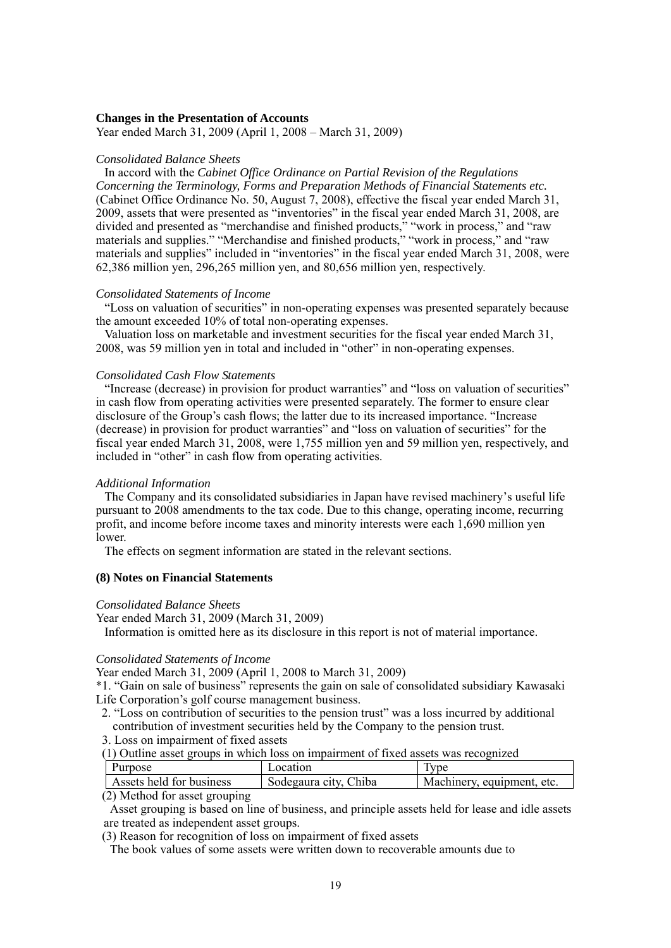#### **Changes in the Presentation of Accounts**

Year ended March 31, 2009 (April 1, 2008 – March 31, 2009)

#### *Consolidated Balance Sheets*

In accord with the *Cabinet Office Ordinance on Partial Revision of the Regulations Concerning the Terminology, Forms and Preparation Methods of Financial Statements etc.*  (Cabinet Office Ordinance No. 50, August 7, 2008), effective the fiscal year ended March 31, 2009, assets that were presented as "inventories" in the fiscal year ended March 31, 2008, are divided and presented as "merchandise and finished products," "work in process," and "raw materials and supplies." "Merchandise and finished products," "work in process," and "raw materials and supplies" included in "inventories" in the fiscal year ended March 31, 2008, were 62,386 million yen, 296,265 million yen, and 80,656 million yen, respectively.

### *Consolidated Statements of Income*

"Loss on valuation of securities" in non-operating expenses was presented separately because the amount exceeded 10% of total non-operating expenses.

Valuation loss on marketable and investment securities for the fiscal year ended March 31, 2008, was 59 million yen in total and included in "other" in non-operating expenses.

#### *Consolidated Cash Flow Statements*

"Increase (decrease) in provision for product warranties" and "loss on valuation of securities" in cash flow from operating activities were presented separately. The former to ensure clear disclosure of the Group's cash flows; the latter due to its increased importance. "Increase (decrease) in provision for product warranties" and "loss on valuation of securities" for the fiscal year ended March 31, 2008, were 1,755 million yen and 59 million yen, respectively, and included in "other" in cash flow from operating activities.

#### *Additional Information*

The Company and its consolidated subsidiaries in Japan have revised machinery's useful life pursuant to 2008 amendments to the tax code. Due to this change, operating income, recurring profit, and income before income taxes and minority interests were each 1,690 million yen lower.

The effects on segment information are stated in the relevant sections.

### **(8) Notes on Financial Statements**

#### *Consolidated Balance Sheets*

Year ended March 31, 2009 (March 31, 2009) Information is omitted here as its disclosure in this report is not of material importance.

### *Consolidated Statements of Income*

Year ended March 31, 2009 (April 1, 2008 to March 31, 2009)

\*1. "Gain on sale of business" represents the gain on sale of consolidated subsidiary Kawasaki Life Corporation's golf course management business.

2. "Loss on contribution of securities to the pension trust" was a loss incurred by additional contribution of investment securities held by the Company to the pension trust.

3. Loss on impairment of fixed assets

(1) Outline asset groups in which loss on impairment of fixed assets was recognized

| Purpose                        | Location              | Type                       |
|--------------------------------|-----------------------|----------------------------|
| Assets held for business       | Sodegaura city, Chiba | Machinery, equipment, etc. |
| $(2)$ Mathad for good grouning |                       |                            |

(2) Method for asset grouping

Asset grouping is based on line of business, and principle assets held for lease and idle assets are treated as independent asset groups.

(3) Reason for recognition of loss on impairment of fixed assets

The book values of some assets were written down to recoverable amounts due to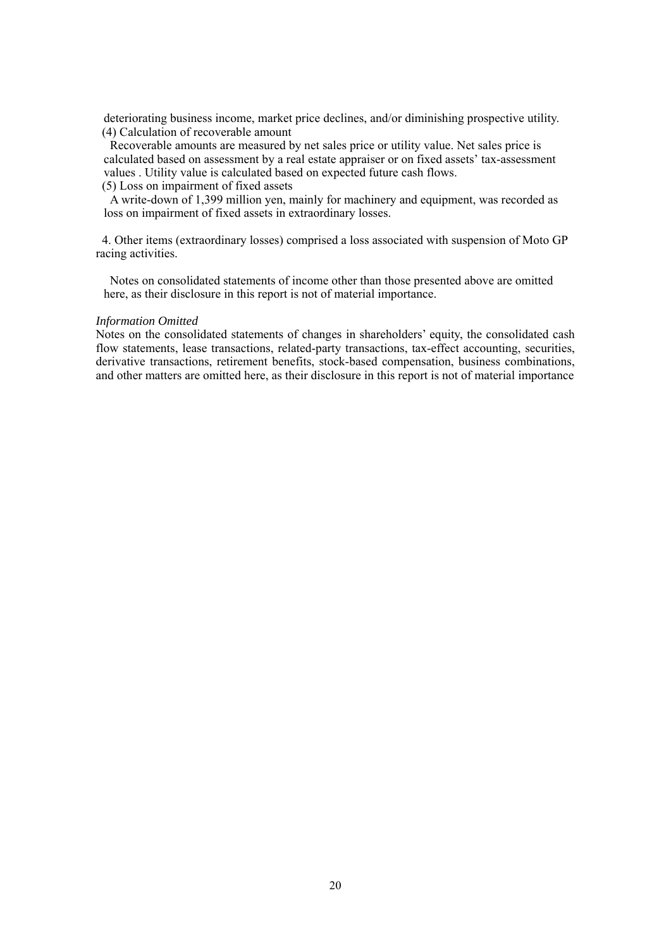deteriorating business income, market price declines, and/or diminishing prospective utility. (4) Calculation of recoverable amount

Recoverable amounts are measured by net sales price or utility value. Net sales price is calculated based on assessment by a real estate appraiser or on fixed assets' tax-assessment values . Utility value is calculated based on expected future cash flows.

### (5) Loss on impairment of fixed assets

A write-down of 1,399 million yen, mainly for machinery and equipment, was recorded as loss on impairment of fixed assets in extraordinary losses.

4. Other items (extraordinary losses) comprised a loss associated with suspension of Moto GP racing activities.

Notes on consolidated statements of income other than those presented above are omitted here, as their disclosure in this report is not of material importance.

#### *Information Omitted*

Notes on the consolidated statements of changes in shareholders' equity, the consolidated cash flow statements, lease transactions, related-party transactions, tax-effect accounting, securities, derivative transactions, retirement benefits, stock-based compensation, business combinations, and other matters are omitted here, as their disclosure in this report is not of material importance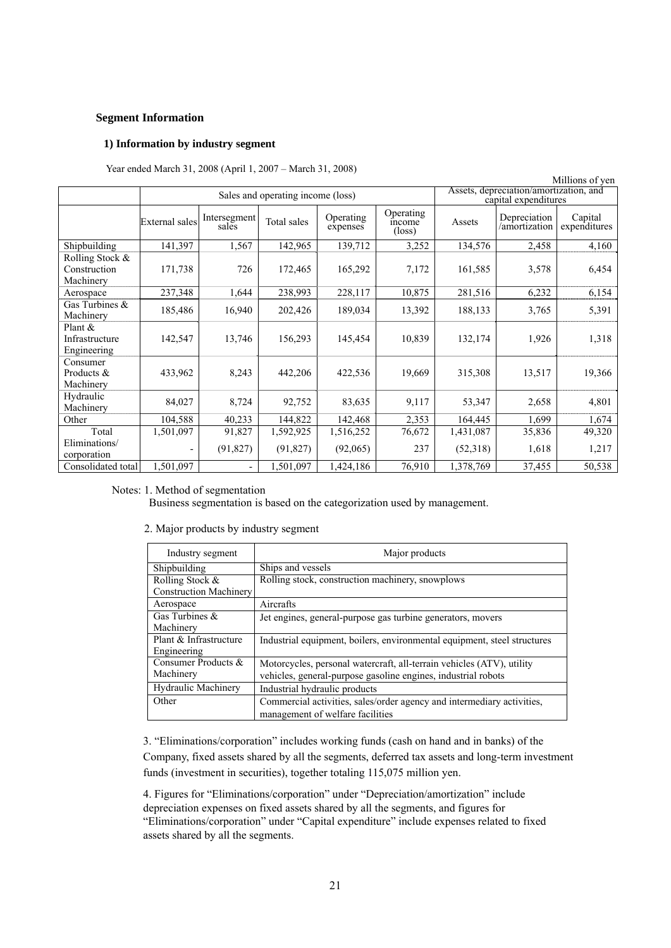### **Segment Information**

### **1) Information by industry segment**

Year ended March 31, 2008 (April 1, 2007 – March 31, 2008)

|                                              |                                   |                       |             |                       |                                                                |           |                               | Millions of yen         |
|----------------------------------------------|-----------------------------------|-----------------------|-------------|-----------------------|----------------------------------------------------------------|-----------|-------------------------------|-------------------------|
|                                              | Sales and operating income (loss) |                       |             |                       | Assets, depreciation/amortization, and<br>capital expenditures |           |                               |                         |
|                                              | <b>External</b> sales             | Intersegment<br>sales | Total sales | Operating<br>expenses | Operating<br>income<br>$(\text{loss})$                         | Assets    | Depreciation<br>/amortization | Capital<br>expenditures |
| Shipbuilding                                 | 141,397                           | 1,567                 | 142,965     | 139,712               | 3,252                                                          | 134,576   | 2,458                         | 4,160                   |
| Rolling Stock &<br>Construction<br>Machinery | 171,738                           | 726                   | 172,465     | 165,292               | 7,172                                                          | 161,585   | 3,578                         | 6,454                   |
| Aerospace                                    | 237,348                           | 1,644                 | 238,993     | 228,117               | 10,875                                                         | 281,516   | 6,232                         | 6,154                   |
| Gas Turbines &<br>Machinery                  | 185,486                           | 16,940                | 202,426     | 189,034               | 13,392                                                         | 188,133   | 3,765                         | 5,391                   |
| Plant $\&$<br>Infrastructure<br>Engineering  | 142,547                           | 13,746                | 156,293     | 145,454               | 10,839                                                         | 132,174   | 1,926                         | 1,318                   |
| Consumer<br>Products &<br>Machinery          | 433,962                           | 8,243                 | 442,206     | 422,536               | 19,669                                                         | 315,308   | 13,517                        | 19,366                  |
| Hydraulic<br>Machinery                       | 84,027                            | 8,724                 | 92,752      | 83,635                | 9,117                                                          | 53,347    | 2,658                         | 4,801                   |
| Other                                        | 104,588                           | 40,233                | 144,822     | 142,468               | 2,353                                                          | 164,445   | 1,699                         | 1,674                   |
| Total                                        | 1,501,097                         | 91,827                | 1,592,925   | 1,516,252             | 76,672                                                         | 1,431,087 | 35,836                        | 49,320                  |
| Eliminations/<br>corporation                 |                                   | (91, 827)             | (91, 827)   | (92,065)              | 237                                                            | (52,318)  | 1,618                         | 1,217                   |
| Consolidated total                           | 1,501,097                         | -                     | 1,501,097   | ,424,186              | 76,910                                                         | 1,378,769 | 37,455                        | 50,538                  |

#### Notes: 1. Method of segmentation

Business segmentation is based on the categorization used by management.

2. Major products by industry segment

| Industry segment                                 | Major products                                                                                                                         |
|--------------------------------------------------|----------------------------------------------------------------------------------------------------------------------------------------|
| Shipbuilding                                     | Ships and vessels                                                                                                                      |
| Rolling Stock &<br><b>Construction Machinery</b> | Rolling stock, construction machinery, snowplows                                                                                       |
| Aerospace                                        | Aircrafts                                                                                                                              |
| Gas Turbines $\&$<br>Machinery                   | Jet engines, general-purpose gas turbine generators, movers                                                                            |
| Plant & Infrastructure<br>Engineering            | Industrial equipment, boilers, environmental equipment, steel structures                                                               |
| Consumer Products &<br>Machinery                 | Motorcycles, personal watercraft, all-terrain vehicles (ATV), utility<br>vehicles, general-purpose gasoline engines, industrial robots |
| <b>Hydraulic Machinery</b>                       | Industrial hydraulic products                                                                                                          |
| Other                                            | Commercial activities, sales/order agency and intermediary activities,<br>management of welfare facilities                             |

3. "Eliminations/corporation" includes working funds (cash on hand and in banks) of the Company, fixed assets shared by all the segments, deferred tax assets and long-term investment funds (investment in securities), together totaling 115,075 million yen.

4. Figures for "Eliminations/corporation" under "Depreciation/amortization" include depreciation expenses on fixed assets shared by all the segments, and figures for "Eliminations/corporation" under "Capital expenditure" include expenses related to fixed assets shared by all the segments.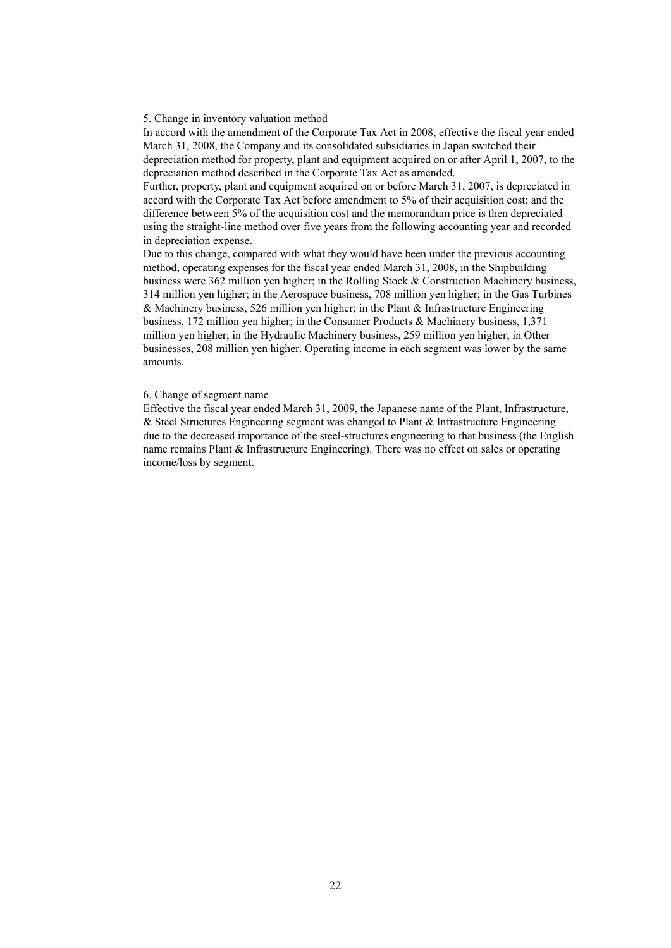5. Change in inventory valuation method

In accord with the amendment of the Corporate Tax Act in 2008, effective the fiscal year ended March 31, 2008, the Company and its consolidated subsidiaries in Japan switched their depreciation method for property, plant and equipment acquired on or after April 1, 2007, to the depreciation method described in the Corporate Tax Act as amended.

Further, property, plant and equipment acquired on or before March 31, 2007, is depreciated in accord with the Corporate Tax Act before amendment to 5% of their acquisition cost; and the difference between 5% of the acquisition cost and the memorandum price is then depreciated using the straight-line method over five years from the following accounting year and recorded in depreciation expense.

Due to this change, compared with what they would have been under the previous accounting method, operating expenses for the fiscal year ended March 31, 2008, in the Shipbuilding business were 362 million yen higher; in the Rolling Stock & Construction Machinery business, 314 million yen higher; in the Aerospace business, 708 million yen higher; in the Gas Turbines  $&$  Machinery business, 526 million yen higher; in the Plant  $&$  Infrastructure Engineering business, 172 million yen higher; in the Consumer Products & Machinery business, 1,371 million yen higher; in the Hydraulic Machinery business, 259 million yen higher; in Other businesses, 208 million yen higher. Operating income in each segment was lower by the same amounts.

#### 6. Change of segment name

Effective the fiscal year ended March 31, 2009, the Japanese name of the Plant, Infrastructure, & Steel Structures Engineering segment was changed to Plant & Infrastructure Engineering due to the decreased importance of the steel-structures engineering to that business (the English name remains Plant & Infrastructure Engineering). There was no effect on sales or operating income/loss by segment.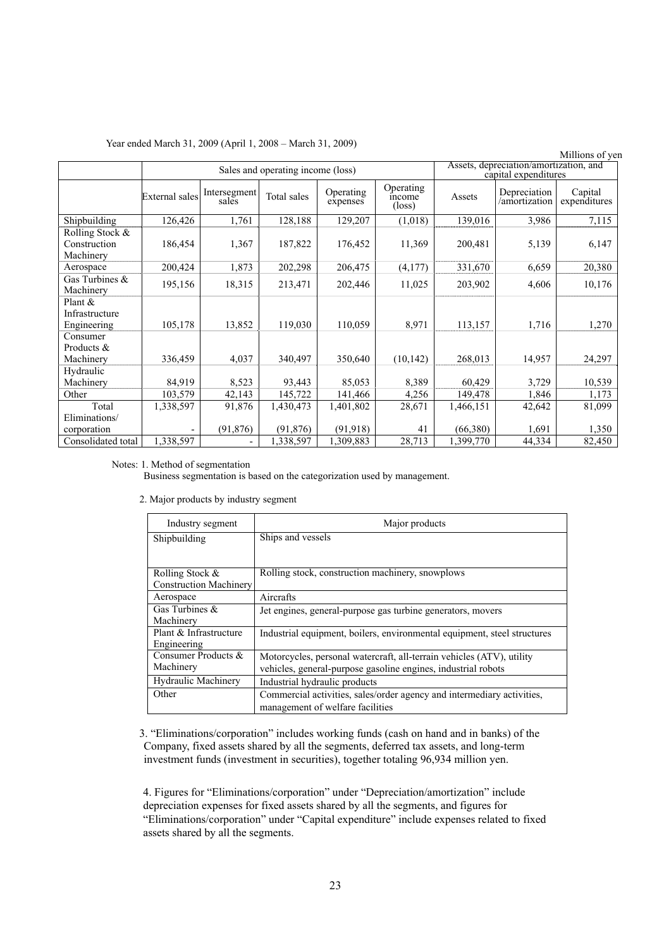|  |  |  | Year ended March 31, 2009 (April 1, 2008 – March 31, 2009) |  |  |
|--|--|--|------------------------------------------------------------|--|--|
|  |  |  |                                                            |  |  |

|                                              |                                   |                       |             |                       |                                                                |           |                               | Millions of yen         |
|----------------------------------------------|-----------------------------------|-----------------------|-------------|-----------------------|----------------------------------------------------------------|-----------|-------------------------------|-------------------------|
|                                              | Sales and operating income (loss) |                       |             |                       | Assets, depreciation/amortization, and<br>capital expenditures |           |                               |                         |
|                                              | <b>External</b> sales             | Intersegment<br>sales | Total sales | Operating<br>expenses | Operating<br>income<br>$(\text{loss})$                         | Assets    | Depreciation<br>/amortization | Capital<br>expenditures |
| Shipbuilding                                 | 126,426                           | 1,761                 | 128,188     | 129,207               | (1,018)                                                        | 139,016   | 3,986                         | 7,115                   |
| Rolling Stock &<br>Construction<br>Machinery | 186,454                           | 1,367                 | 187,822     | 176,452               | 11,369                                                         | 200,481   | 5,139                         | 6,147                   |
| Aerospace                                    | 200,424                           | 1,873                 | 202,298     | 206,475               | (4, 177)                                                       | 331,670   | 6,659                         | 20,380                  |
| Gas Turbines &<br>Machinery                  | 195,156                           | 18,315                | 213,471     | 202,446               | 11,025                                                         | 203,902   | 4,606                         | 10,176                  |
| Plant &<br>Infrastructure<br>Engineering     | 105,178                           | 13,852                | 119,030     | 110,059               | 8,971                                                          | 113,157   | 1,716                         | 1,270                   |
| Consumer<br>Products &<br>Machinery          | 336,459                           | 4,037                 | 340,497     | 350,640               | (10, 142)                                                      | 268,013   | 14,957                        | 24,297                  |
| Hydraulic<br>Machinery                       | 84,919                            | 8,523                 | 93,443      | 85,053                | 8,389                                                          | 60,429    | 3,729                         | 10,539                  |
| Other                                        | 103,579                           | 42,143                | 145,722     | 141,466               | 4,256                                                          | 149,478   | 1,846                         | 1,173                   |
| Total                                        | 1,338,597                         | 91,876                | 1,430,473   | 1,401,802             | 28,671                                                         | 1,466,151 | 42,642                        | 81,099                  |
| Eliminations/<br>corporation                 |                                   | (91, 876)             | (91, 876)   | (91, 918)             | 41                                                             | (66,380)  | 1,691                         | 1,350                   |
| Consolidated total                           | 1,338,597                         |                       | 1,338,597   | 1,309,883             | 28,713                                                         | 1,399,770 | 44,334                        | 82,450                  |

#### Notes: 1. Method of segmentation

Business segmentation is based on the categorization used by management.

|  |  | 2. Major products by industry segment |  |  |  |
|--|--|---------------------------------------|--|--|--|
|--|--|---------------------------------------|--|--|--|

| Industry segment              | Major products                                                           |
|-------------------------------|--------------------------------------------------------------------------|
| Shipbuilding                  | Ships and vessels                                                        |
|                               |                                                                          |
| Rolling Stock &               | Rolling stock, construction machinery, snowplows                         |
| <b>Construction Machinery</b> |                                                                          |
| Aerospace                     | Aircrafts                                                                |
| Gas Turbines $&$              | Jet engines, general-purpose gas turbine generators, movers              |
| Machinery                     |                                                                          |
| Plant & Infrastructure        | Industrial equipment, boilers, environmental equipment, steel structures |
| Engineering                   |                                                                          |
| Consumer Products &           | Motorcycles, personal watercraft, all-terrain vehicles (ATV), utility    |
| Machinery                     | vehicles, general-purpose gasoline engines, industrial robots            |
| <b>Hydraulic Machinery</b>    | Industrial hydraulic products                                            |
| Other                         | Commercial activities, sales/order agency and intermediary activities,   |
|                               | management of welfare facilities                                         |

3. "Eliminations/corporation" includes working funds (cash on hand and in banks) of the Company, fixed assets shared by all the segments, deferred tax assets, and long-term investment funds (investment in securities), together totaling 96,934 million yen.

4. Figures for "Eliminations/corporation" under "Depreciation/amortization" include depreciation expenses for fixed assets shared by all the segments, and figures for "Eliminations/corporation" under "Capital expenditure" include expenses related to fixed assets shared by all the segments.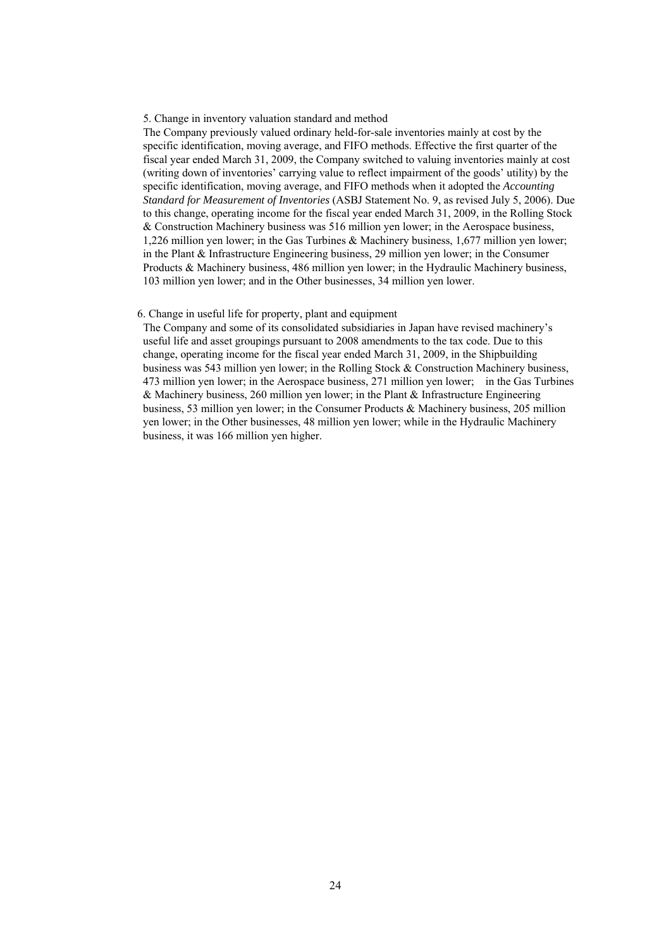#### 5. Change in inventory valuation standard and method

The Company previously valued ordinary held-for-sale inventories mainly at cost by the specific identification, moving average, and FIFO methods. Effective the first quarter of the fiscal year ended March 31, 2009, the Company switched to valuing inventories mainly at cost (writing down of inventories' carrying value to reflect impairment of the goods' utility) by the specific identification, moving average, and FIFO methods when it adopted the *Accounting Standard for Measurement of Inventories* (ASBJ Statement No. 9, as revised July 5, 2006). Due to this change, operating income for the fiscal year ended March 31, 2009, in the Rolling Stock & Construction Machinery business was 516 million yen lower; in the Aerospace business, 1,226 million yen lower; in the Gas Turbines & Machinery business, 1,677 million yen lower; in the Plant & Infrastructure Engineering business, 29 million yen lower; in the Consumer Products & Machinery business, 486 million yen lower; in the Hydraulic Machinery business, 103 million yen lower; and in the Other businesses, 34 million yen lower.

#### 6. Change in useful life for property, plant and equipment

The Company and some of its consolidated subsidiaries in Japan have revised machinery's useful life and asset groupings pursuant to 2008 amendments to the tax code. Due to this change, operating income for the fiscal year ended March 31, 2009, in the Shipbuilding business was 543 million yen lower; in the Rolling Stock & Construction Machinery business, 473 million yen lower; in the Aerospace business, 271 million yen lower; in the Gas Turbines & Machinery business, 260 million yen lower; in the Plant & Infrastructure Engineering business, 53 million yen lower; in the Consumer Products & Machinery business, 205 million yen lower; in the Other businesses, 48 million yen lower; while in the Hydraulic Machinery business, it was 166 million yen higher.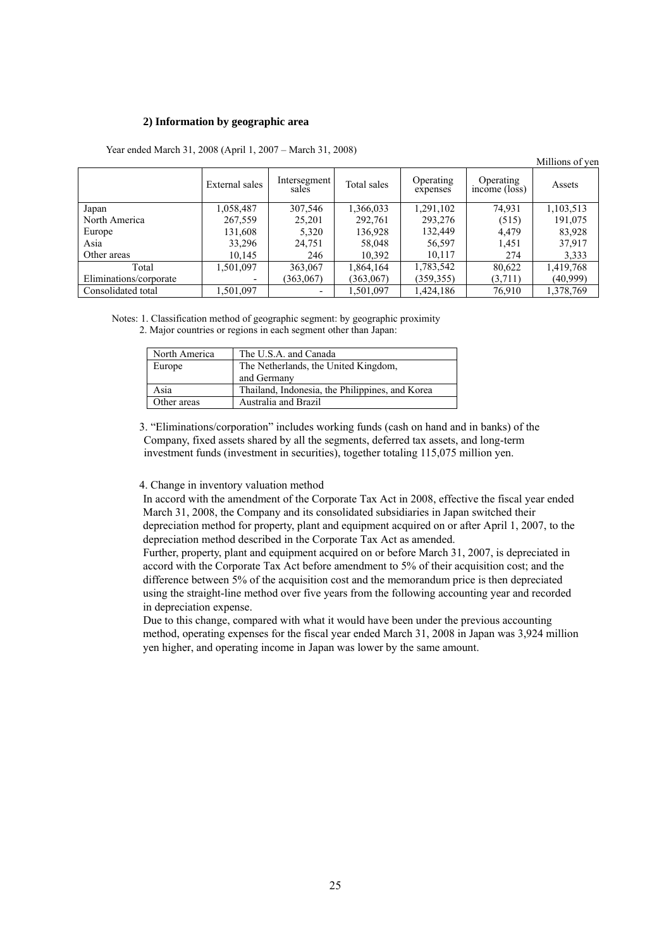#### **2) Information by geographic area**

|                        |                          |                       |             |                       |                            | Millions of yen |
|------------------------|--------------------------|-----------------------|-------------|-----------------------|----------------------------|-----------------|
|                        | External sales           | Intersegment<br>sales | Total sales | Operating<br>expenses | Operating<br>income (loss) | Assets          |
| Japan                  | 1,058,487                | 307,546               | 1,366,033   | 1,291,102             | 74,931                     | 1,103,513       |
| North America          | 267,559                  | 25,201                | 292,761     | 293,276               | (515)                      | 191,075         |
| Europe                 | 131,608                  | 5,320                 | 136,928     | 132,449               | 4,479                      | 83,928          |
| Asia                   | 33,296                   | 24,751                | 58,048      | 56,597                | 1,451                      | 37,917          |
| Other areas            | 10,145                   | 246                   | 10,392      | 10,117                | 274                        | 3,333           |
| Total                  | .501,097                 | 363,067               | 1,864,164   | 1,783,542             | 80,622                     | 1,419,768       |
| Eliminations/corporate | $\overline{\phantom{0}}$ | (363,067)             | (363,067)   | (359, 355)            | (3,711)                    | (40,999)        |
| Consolidated total     | 1,501,097                |                       | 1,501,097   | 1,424,186             | 76,910                     | 1,378,769       |

Year ended March 31, 2008 (April 1, 2007 – March 31, 2008)

Notes: 1. Classification method of geographic segment: by geographic proximity 2. Major countries or regions in each segment other than Japan:

| North America | The U.S.A. and Canada                               |
|---------------|-----------------------------------------------------|
| Europe        | The Netherlands, the United Kingdom,<br>and Germany |
| Asia          | Thailand, Indonesia, the Philippines, and Korea     |
| Other areas   | Australia and Brazil                                |

3. "Eliminations/corporation" includes working funds (cash on hand and in banks) of the Company, fixed assets shared by all the segments, deferred tax assets, and long-term investment funds (investment in securities), together totaling 115,075 million yen.

4. Change in inventory valuation method

In accord with the amendment of the Corporate Tax Act in 2008, effective the fiscal year ended March 31, 2008, the Company and its consolidated subsidiaries in Japan switched their depreciation method for property, plant and equipment acquired on or after April 1, 2007, to the depreciation method described in the Corporate Tax Act as amended.

Further, property, plant and equipment acquired on or before March 31, 2007, is depreciated in accord with the Corporate Tax Act before amendment to 5% of their acquisition cost; and the difference between 5% of the acquisition cost and the memorandum price is then depreciated using the straight-line method over five years from the following accounting year and recorded in depreciation expense.

Due to this change, compared with what it would have been under the previous accounting method, operating expenses for the fiscal year ended March 31, 2008 in Japan was 3,924 million yen higher, and operating income in Japan was lower by the same amount.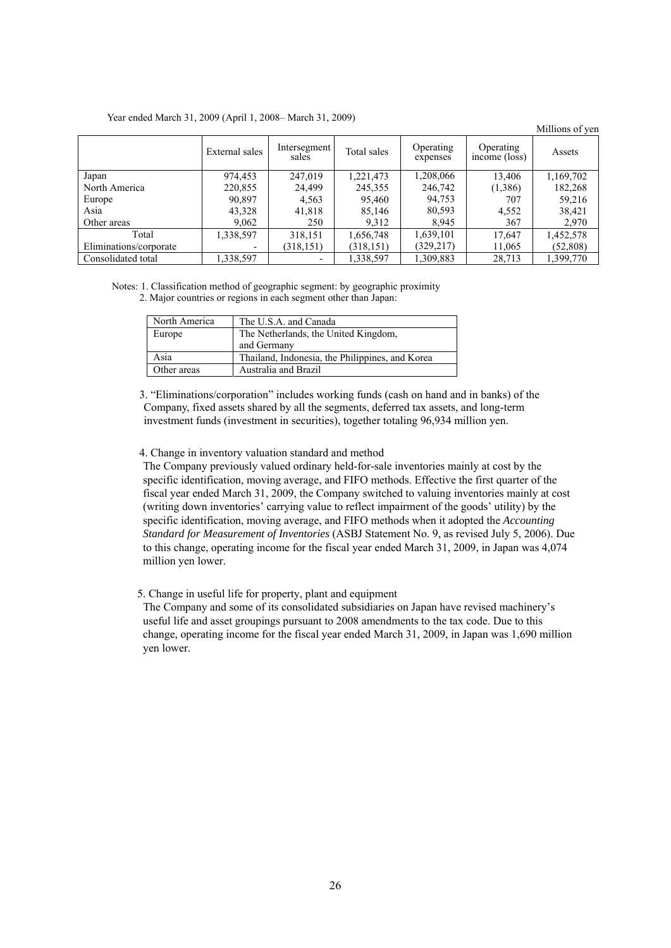#### Year ended March 31, 2009 (April 1, 2008– March 31, 2009)

Millions of yen External sales Intersegment sales Total sales Operating expenses Operating <br> **income** (loss) <br>
Assets Japan 974,453 247,019 1,221,473 1,208,066 13,406 1,169,702 North America 1 220,855 24,499 245,355 246,742 (1,386) 182,268 Europe 1 90,897 4,563 95,460 94,753 707 59,216 Asia 43,328 41,818 85,146 80,593 4,552 38,421 Other areas 1 9,062 250 9,312 8,945 367 2,970 Total 1,338,597 318,151 1,656,748 1,639,101 17,647 1,452,578 Eliminations/corporate - (318,151) (318,151) (329,217) 11,065 (52,808) Consolidated total 1,338,597 - 1,338,597 1,309,883 28,713 1,399,770

Notes: 1. Classification method of geographic segment: by geographic proximity 2. Major countries or regions in each segment other than Japan:

| North America | The U.S.A. and Canada                           |
|---------------|-------------------------------------------------|
| Europe        | The Netherlands, the United Kingdom,            |
|               | and Germany                                     |
| Asia          | Thailand, Indonesia, the Philippines, and Korea |
| Other areas   | Australia and Brazil                            |

3. "Eliminations/corporation" includes working funds (cash on hand and in banks) of the Company, fixed assets shared by all the segments, deferred tax assets, and long-term investment funds (investment in securities), together totaling 96,934 million yen.

4. Change in inventory valuation standard and method

The Company previously valued ordinary held-for-sale inventories mainly at cost by the specific identification, moving average, and FIFO methods. Effective the first quarter of the fiscal year ended March 31, 2009, the Company switched to valuing inventories mainly at cost (writing down inventories' carrying value to reflect impairment of the goods' utility) by the specific identification, moving average, and FIFO methods when it adopted the *Accounting Standard for Measurement of Inventories* (ASBJ Statement No. 9, as revised July 5, 2006). Due to this change, operating income for the fiscal year ended March 31, 2009, in Japan was 4,074 million yen lower.

5. Change in useful life for property, plant and equipment

The Company and some of its consolidated subsidiaries on Japan have revised machinery's useful life and asset groupings pursuant to 2008 amendments to the tax code. Due to this change, operating income for the fiscal year ended March 31, 2009, in Japan was 1,690 million yen lower.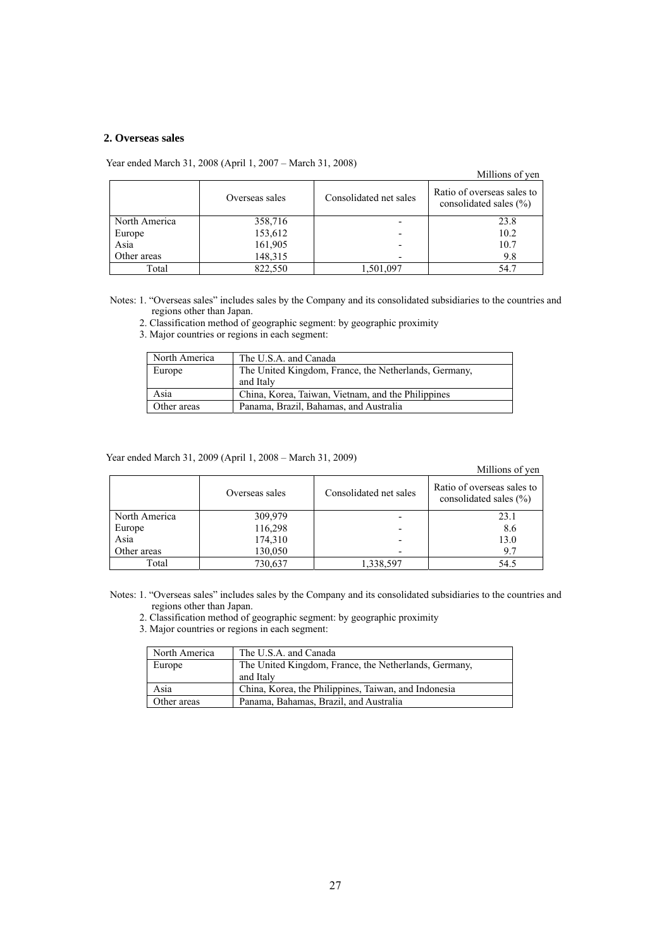### **2. Overseas sales**

Year ended March 31, 2008 (April 1, 2007 – March 31, 2008)

|               | Four charge march 21, 2000 (Tiplin 1, 2007 - march 21, 2000) |                        | Millions of yen                                          |
|---------------|--------------------------------------------------------------|------------------------|----------------------------------------------------------|
|               | Overseas sales                                               | Consolidated net sales | Ratio of overseas sales to<br>consolidated sales $(\% )$ |
| North America | 358,716                                                      |                        | 23.8                                                     |
| Europe        | 153,612                                                      |                        | 10.2                                                     |
| Asia          | 161,905                                                      |                        | 10.7                                                     |
| Other areas   | 148,315                                                      |                        | 9.8                                                      |
| Total         | 822,550                                                      | 1,501,097              | 54.7                                                     |

Notes: 1. "Overseas sales" includes sales by the Company and its consolidated subsidiaries to the countries and regions other than Japan.

2. Classification method of geographic segment: by geographic proximity

3. Major countries or regions in each segment:

| North America | The U.S.A. and Canada                                 |
|---------------|-------------------------------------------------------|
| Europe        | The United Kingdom, France, the Netherlands, Germany, |
|               | and Italy                                             |
| Asia          | China, Korea, Taiwan, Vietnam, and the Philippines    |
| Other areas   | Panama, Brazil, Bahamas, and Australia                |

Year ended March 31, 2009 (April 1, 2008 – March 31, 2009)

#### Millions of yen

|               | Overseas sales | Consolidated net sales | Ratio of overseas sales to<br>consolidated sales $(\% )$ |
|---------------|----------------|------------------------|----------------------------------------------------------|
| North America | 309,979        |                        | 23.1                                                     |
| Europe        | 116,298        |                        | 8.6                                                      |
| Asia          | 174,310        |                        | 13.0                                                     |
| Other areas   | 130,050        |                        | 9.7                                                      |
| Total         | 730,637        | 1,338,597              | 54.5                                                     |

Notes: 1. "Overseas sales" includes sales by the Company and its consolidated subsidiaries to the countries and regions other than Japan.

2. Classification method of geographic segment: by geographic proximity

3. Major countries or regions in each segment:

| North America | The U.S.A. and Canada                                 |
|---------------|-------------------------------------------------------|
| Europe        | The United Kingdom, France, the Netherlands, Germany, |
|               | and Italy                                             |
| Asia          | China, Korea, the Philippines, Taiwan, and Indonesia  |
| Other areas   | Panama, Bahamas, Brazil, and Australia                |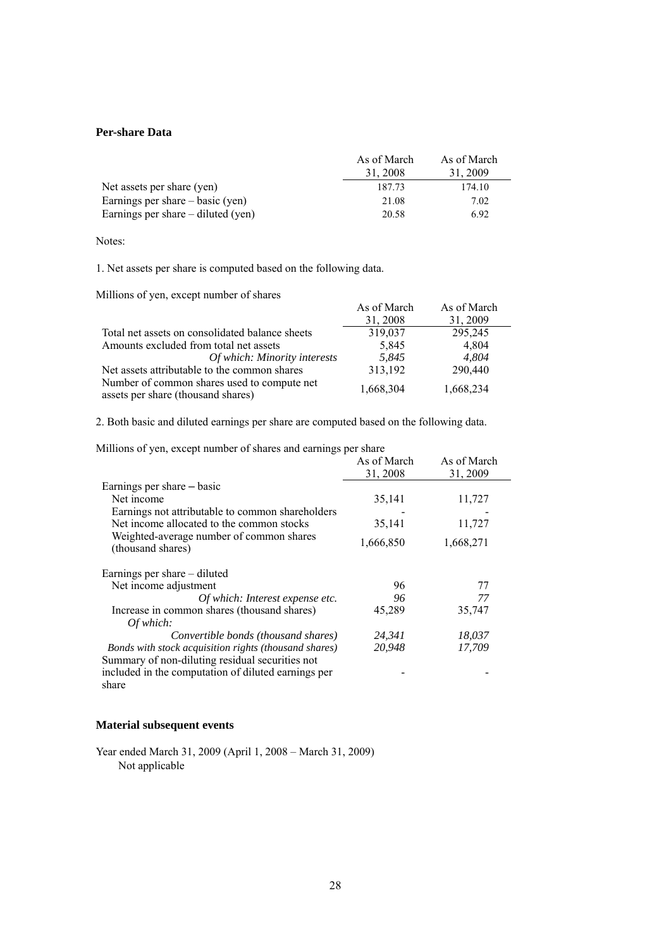### **Per-share Data**

|                                      | As of March | As of March |
|--------------------------------------|-------------|-------------|
|                                      | 31.2008     | 31.2009     |
| Net assets per share (yen)           | 187.73      | 174.10      |
| Earnings per share $-$ basic (yen)   | 21.08       | 7.02        |
| Earnings per share $-$ diluted (yen) | 20.58       | 6.92        |

Notes:

1. Net assets per share is computed based on the following data.

Millions of yen, except number of shares

| Villions of yen, except number of snafes                                          |             |             |  |
|-----------------------------------------------------------------------------------|-------------|-------------|--|
|                                                                                   | As of March | As of March |  |
|                                                                                   | 31, 2008    | 31, 2009    |  |
| Total net assets on consolidated balance sheets                                   | 319,037     | 295,245     |  |
| Amounts excluded from total net assets                                            | 5,845       | 4,804       |  |
| Of which: Minority interests                                                      | 5.845       | 4.804       |  |
| Net assets attributable to the common shares                                      | 313,192     | 290,440     |  |
| Number of common shares used to compute net<br>assets per share (thousand shares) | 1,668,304   | 1,668,234   |  |

2. Both basic and diluted earnings per share are computed based on the following data.

Millions of yen, except number of shares and earnings per share

| Millions of yen, except number of shares and earnings per share |             |             |
|-----------------------------------------------------------------|-------------|-------------|
|                                                                 | As of March | As of March |
|                                                                 | 31, 2008    | 31, 2009    |
| Earnings per share – basic                                      |             |             |
| Net income                                                      | 35,141      | 11,727      |
| Earnings not attributable to common shareholders                |             |             |
| Net income allocated to the common stocks                       | 35,141      | 11,727      |
| Weighted-average number of common shares<br>(thousand shares)   | 1,666,850   | 1,668,271   |
| Earnings per share – diluted                                    |             |             |
| Net income adjustment                                           | 96          | 77          |
| Of which: Interest expense etc.                                 | 96          | 77          |
| Increase in common shares (thousand shares)                     | 45,289      | 35,747      |
| Of which:                                                       |             |             |
| Convertible bonds (thousand shares)                             | 24,341      | 18,037      |
| Bonds with stock acquisition rights (thousand shares)           | 20,948      | 17,709      |
| Summary of non-diluting residual securities not                 |             |             |
| included in the computation of diluted earnings per             |             |             |
| share                                                           |             |             |

### **Material subsequent events**

Year ended March 31, 2009 (April 1, 2008 – March 31, 2009) Not applicable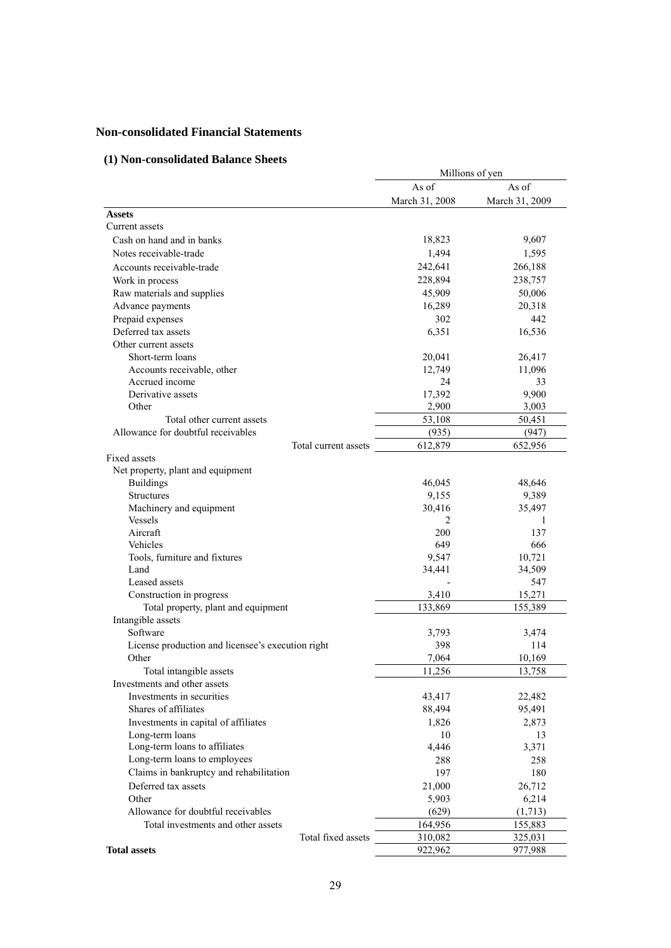# **Non-consolidated Financial Statements**

# **(1) Non-consolidated Balance Sheets**

|                                                   | Millions of yen |                |  |  |
|---------------------------------------------------|-----------------|----------------|--|--|
|                                                   | As of           | As of          |  |  |
|                                                   | March 31, 2008  | March 31, 2009 |  |  |
| <b>Assets</b>                                     |                 |                |  |  |
| Current assets                                    |                 |                |  |  |
| Cash on hand and in banks                         | 18,823          | 9,607          |  |  |
| Notes receivable-trade                            | 1,494           | 1,595          |  |  |
| Accounts receivable-trade                         | 242,641         | 266,188        |  |  |
| Work in process                                   | 228,894         | 238,757        |  |  |
| Raw materials and supplies                        | 45,909          | 50,006         |  |  |
| Advance payments                                  | 16,289          | 20,318         |  |  |
| Prepaid expenses                                  | 302             | 442            |  |  |
| Deferred tax assets                               | 6,351           | 16,536         |  |  |
| Other current assets                              |                 |                |  |  |
| Short-term loans                                  | 20,041          | 26,417         |  |  |
| Accounts receivable, other                        | 12,749          | 11,096         |  |  |
| Accrued income                                    | 24              | 33             |  |  |
| Derivative assets                                 | 17,392          | 9,900          |  |  |
| Other                                             | 2,900           | 3,003          |  |  |
| Total other current assets                        | 53,108          | 50,451         |  |  |
| Allowance for doubtful receivables                | (935)           | (947)          |  |  |
| Total current assets                              | 612,879         | 652,956        |  |  |
| Fixed assets                                      |                 |                |  |  |
| Net property, plant and equipment                 |                 |                |  |  |
| <b>Buildings</b>                                  | 46,045          | 48,646         |  |  |
| <b>Structures</b>                                 | 9,155           | 9,389          |  |  |
| Machinery and equipment                           | 30,416          | 35,497         |  |  |
| Vessels                                           | 2               | 1              |  |  |
| Aircraft                                          | 200             | 137            |  |  |
| Vehicles                                          | 649             | 666            |  |  |
| Tools, furniture and fixtures                     | 9,547           | 10,721         |  |  |
| Land                                              | 34,441          | 34,509         |  |  |
| Leased assets                                     |                 | 547            |  |  |
| Construction in progress                          | 3,410           | 15,271         |  |  |
| Total property, plant and equipment               | 133,869         | 155,389        |  |  |
| Intangible assets                                 |                 |                |  |  |
| Software                                          | 3,793           | 3,474          |  |  |
| License production and licensee's execution right | 398             | 114            |  |  |
| Other                                             | 7,064           | 10,169         |  |  |
| Total intangible assets                           | 11,256          | 13,758         |  |  |
| Investments and other assets                      |                 |                |  |  |
| Investments in securities                         | 43,417          | 22,482         |  |  |
| Shares of affiliates                              | 88,494          | 95,491         |  |  |
| Investments in capital of affiliates              | 1,826           | 2,873          |  |  |
| Long-term loans                                   | 10              | 13             |  |  |
| Long-term loans to affiliates                     | 4,446           | 3,371          |  |  |
| Long-term loans to employees                      | 288             | 258            |  |  |
| Claims in bankruptcy and rehabilitation           | 197             | 180            |  |  |
| Deferred tax assets                               | 21,000          | 26,712         |  |  |
| Other                                             | 5,903           | 6,214          |  |  |
| Allowance for doubtful receivables                | (629)           | (1,713)        |  |  |
| Total investments and other assets                | 164,956         | 155,883        |  |  |
| Total fixed assets                                | 310,082         | 325,031        |  |  |
| <b>Total assets</b>                               | 922,962         | 977,988        |  |  |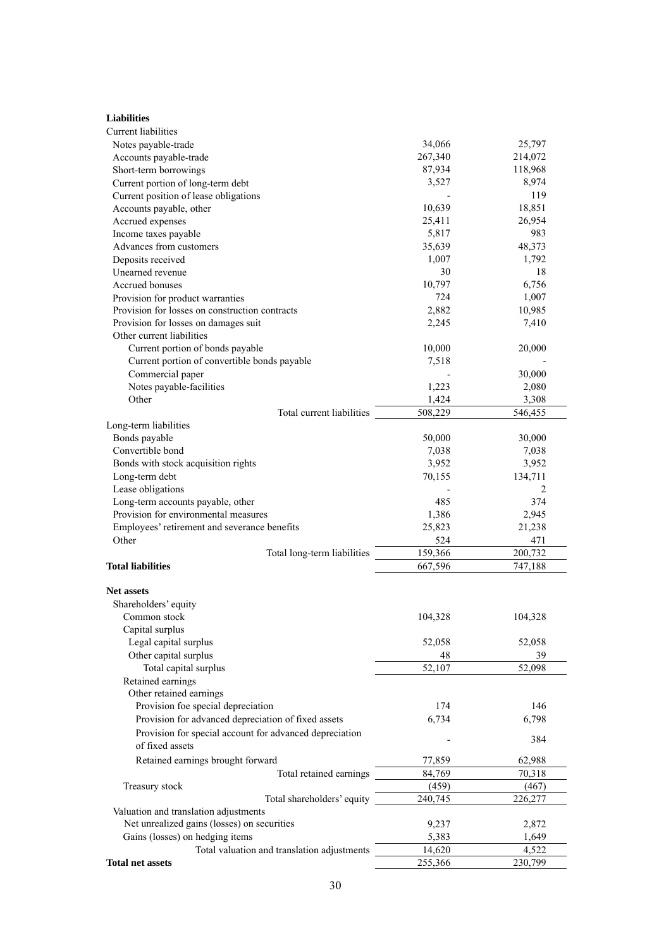| <b>Liabilities</b>                                      |         |         |
|---------------------------------------------------------|---------|---------|
| Current liabilities                                     |         |         |
| Notes payable-trade                                     | 34,066  | 25,797  |
| Accounts payable-trade                                  | 267,340 | 214,072 |
| Short-term borrowings                                   | 87,934  | 118,968 |
| Current portion of long-term debt                       | 3,527   | 8,974   |
| Current position of lease obligations                   |         | 119     |
| Accounts payable, other                                 | 10,639  | 18,851  |
| Accrued expenses                                        | 25,411  | 26,954  |
| Income taxes payable                                    | 5,817   | 983     |
| Advances from customers                                 | 35,639  | 48,373  |
| Deposits received                                       | 1,007   | 1,792   |
| Unearned revenue                                        | 30      | 18      |
| Accrued bonuses                                         | 10,797  | 6,756   |
| Provision for product warranties                        | 724     | 1,007   |
| Provision for losses on construction contracts          | 2,882   | 10,985  |
| Provision for losses on damages suit                    | 2,245   | 7,410   |
| Other current liabilities                               |         |         |
| Current portion of bonds payable                        | 10,000  | 20,000  |
| Current portion of convertible bonds payable            | 7,518   |         |
| Commercial paper                                        |         | 30,000  |
| Notes payable-facilities                                | 1,223   | 2,080   |
| Other                                                   | 1,424   | 3,308   |
| Total current liabilities                               | 508,229 | 546,455 |
| Long-term liabilities                                   |         |         |
| Bonds payable                                           | 50,000  | 30,000  |
| Convertible bond                                        | 7,038   | 7,038   |
| Bonds with stock acquisition rights                     | 3,952   | 3,952   |
| Long-term debt                                          | 70,155  | 134,711 |
| Lease obligations                                       |         | 2       |
| Long-term accounts payable, other                       | 485     | 374     |
| Provision for environmental measures                    | 1,386   | 2,945   |
| Employees' retirement and severance benefits            | 25,823  | 21,238  |
| Other                                                   | 524     | 471     |
| Total long-term liabilities                             | 159,366 | 200,732 |
| <b>Total liabilities</b>                                | 667,596 | 747,188 |
|                                                         |         |         |
| <b>Net assets</b>                                       |         |         |
| Shareholders' equity                                    |         |         |
| Common stock                                            | 104,328 | 104,328 |
| Capital surplus                                         |         |         |
| Legal capital surplus                                   | 52,058  | 52,058  |
| Other capital surplus                                   | 48      | 39      |
| Total capital surplus                                   | 52,107  | 52,098  |
| Retained earnings                                       |         |         |
| Other retained earnings                                 |         |         |
| Provision foe special depreciation                      | 174     | 146     |
| Provision for advanced depreciation of fixed assets     | 6,734   | 6,798   |
| Provision for special account for advanced depreciation |         |         |
| of fixed assets                                         |         | 384     |
| Retained earnings brought forward                       | 77,859  | 62,988  |
| Total retained earnings                                 | 84,769  | 70,318  |
| Treasury stock                                          | (459)   | (467)   |
| Total shareholders' equity                              | 240,745 | 226,277 |
| Valuation and translation adjustments                   |         |         |
| Net unrealized gains (losses) on securities             | 9,237   | 2,872   |
| Gains (losses) on hedging items                         | 5,383   | 1,649   |
| Total valuation and translation adjustments             | 14,620  | 4,522   |
| <b>Total net assets</b>                                 | 255,366 | 230,799 |
|                                                         |         |         |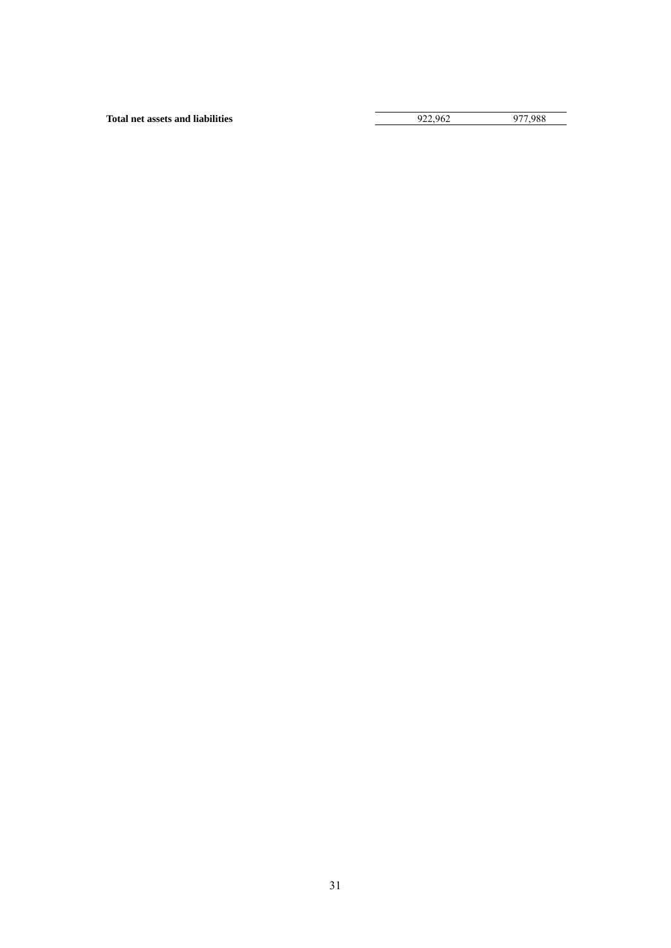**Total net assets and liabilities** 922,962 977,988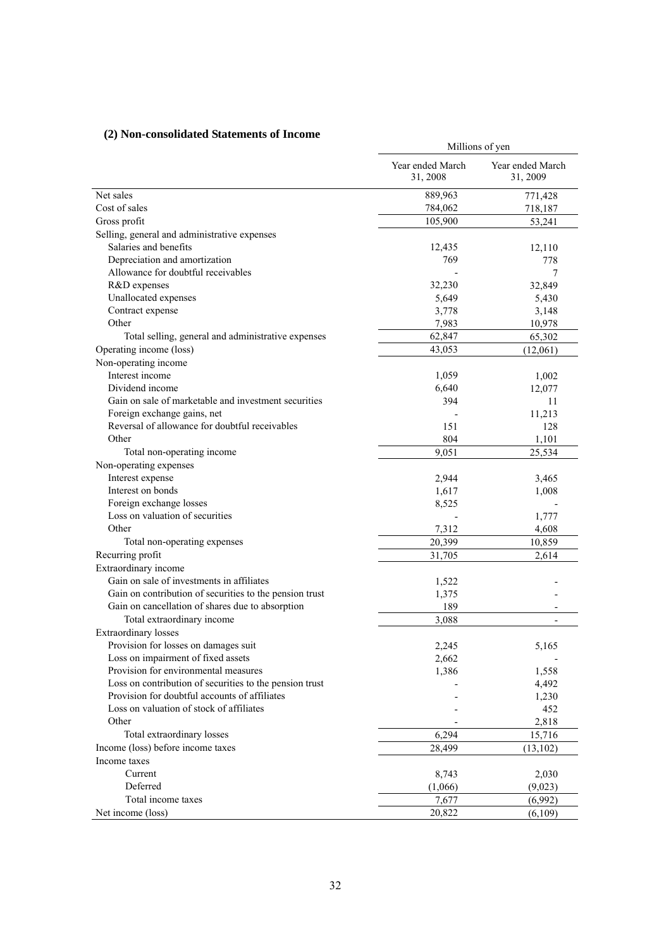# **(2) Non-consolidated Statements of Income**

| $\omega$ ) ison-consonuated biatements of meome         | Millions of yen              |                              |  |  |  |
|---------------------------------------------------------|------------------------------|------------------------------|--|--|--|
|                                                         | Year ended March<br>31, 2008 | Year ended March<br>31, 2009 |  |  |  |
| Net sales                                               | 889,963                      | 771,428                      |  |  |  |
| Cost of sales                                           | 784,062                      | 718,187                      |  |  |  |
| Gross profit                                            | 105,900                      | 53,241                       |  |  |  |
| Selling, general and administrative expenses            |                              |                              |  |  |  |
| Salaries and benefits                                   | 12,435                       | 12,110                       |  |  |  |
| Depreciation and amortization                           | 769                          | 778                          |  |  |  |
| Allowance for doubtful receivables                      |                              | 7                            |  |  |  |
| R&D expenses                                            | 32,230                       | 32,849                       |  |  |  |
| Unallocated expenses                                    | 5,649                        | 5,430                        |  |  |  |
| Contract expense                                        | 3,778                        | 3,148                        |  |  |  |
| Other                                                   | 7,983                        | 10,978                       |  |  |  |
| Total selling, general and administrative expenses      | 62,847                       | 65,302                       |  |  |  |
| Operating income (loss)                                 | 43,053                       | (12,061)                     |  |  |  |
| Non-operating income                                    |                              |                              |  |  |  |
| Interest income                                         | 1,059                        | 1,002                        |  |  |  |
| Dividend income                                         | 6,640                        | 12,077                       |  |  |  |
| Gain on sale of marketable and investment securities    | 394                          | 11                           |  |  |  |
| Foreign exchange gains, net                             |                              | 11,213                       |  |  |  |
| Reversal of allowance for doubtful receivables          | 151                          | 128                          |  |  |  |
| Other                                                   | 804                          | 1,101                        |  |  |  |
| Total non-operating income                              | 9.051                        | 25,534                       |  |  |  |
| Non-operating expenses                                  |                              |                              |  |  |  |
| Interest expense                                        | 2,944                        | 3,465                        |  |  |  |
| Interest on bonds                                       | 1,617                        | 1,008                        |  |  |  |
| Foreign exchange losses                                 | 8,525                        |                              |  |  |  |
| Loss on valuation of securities                         |                              | 1,777                        |  |  |  |
| Other                                                   | 7,312                        | 4,608                        |  |  |  |
| Total non-operating expenses                            | 20,399                       | 10,859                       |  |  |  |
| Recurring profit                                        | 31,705                       | 2,614                        |  |  |  |
| Extraordinary income                                    |                              |                              |  |  |  |
| Gain on sale of investments in affiliates               | 1,522                        |                              |  |  |  |
| Gain on contribution of securities to the pension trust | 1,375                        |                              |  |  |  |
| Gain on cancellation of shares due to absorption        | 189                          |                              |  |  |  |
| Total extraordinary income                              | 3,088                        | $\overline{a}$               |  |  |  |
| <b>Extraordinary losses</b>                             |                              |                              |  |  |  |
| Provision for losses on damages suit                    | 2,245                        | 5,165                        |  |  |  |
| Loss on impairment of fixed assets                      | 2,662                        |                              |  |  |  |
| Provision for environmental measures                    | 1,386                        | 1,558                        |  |  |  |
| Loss on contribution of securities to the pension trust |                              | 4,492                        |  |  |  |
| Provision for doubtful accounts of affiliates           |                              | 1,230                        |  |  |  |
| Loss on valuation of stock of affiliates                |                              | 452                          |  |  |  |
| Other                                                   |                              | 2,818                        |  |  |  |
| Total extraordinary losses                              | 6,294                        | 15,716                       |  |  |  |
| Income (loss) before income taxes                       |                              |                              |  |  |  |
|                                                         | 28,499                       | (13, 102)                    |  |  |  |
| Income taxes                                            |                              |                              |  |  |  |
| Current                                                 | 8,743                        | 2,030                        |  |  |  |
| Deferred                                                | (1,066)                      | (9,023)                      |  |  |  |
| Total income taxes                                      | 7,677                        | (6,992)                      |  |  |  |
| Net income (loss)                                       | 20,822                       | (6,109)                      |  |  |  |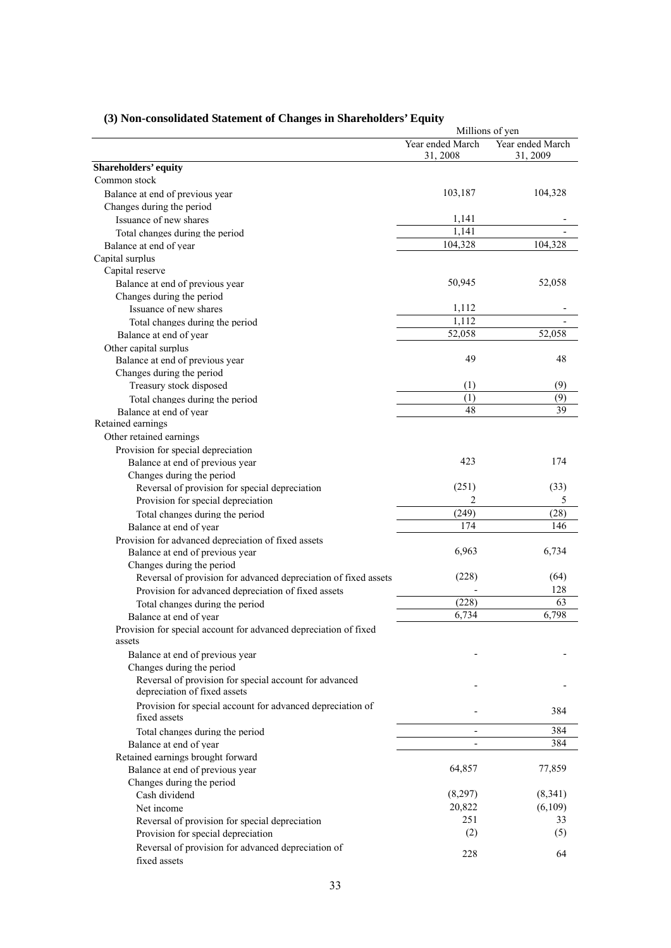|                                                                                        | Millions of yen              |                              |  |
|----------------------------------------------------------------------------------------|------------------------------|------------------------------|--|
|                                                                                        | Year ended March<br>31, 2008 | Year ended March<br>31, 2009 |  |
| Shareholders' equity                                                                   |                              |                              |  |
| Common stock                                                                           |                              |                              |  |
| Balance at end of previous year                                                        | 103,187                      | 104,328                      |  |
| Changes during the period                                                              |                              |                              |  |
| Issuance of new shares                                                                 | 1,141                        |                              |  |
| Total changes during the period                                                        | 1,141                        |                              |  |
| Balance at end of year                                                                 | 104,328                      | 104,328                      |  |
| Capital surplus                                                                        |                              |                              |  |
| Capital reserve                                                                        |                              |                              |  |
| Balance at end of previous year                                                        | 50,945                       | 52,058                       |  |
| Changes during the period                                                              |                              |                              |  |
| Issuance of new shares                                                                 | 1,112                        |                              |  |
| Total changes during the period                                                        | 1,112                        |                              |  |
| Balance at end of year                                                                 | 52,058                       | 52,058                       |  |
| Other capital surplus                                                                  |                              |                              |  |
| Balance at end of previous year                                                        | 49                           | 48                           |  |
| Changes during the period                                                              |                              |                              |  |
| Treasury stock disposed                                                                | (1)                          | (9)                          |  |
| Total changes during the period                                                        | (1)                          | (9)                          |  |
| Balance at end of year                                                                 | 48                           | 39                           |  |
| Retained earnings                                                                      |                              |                              |  |
| Other retained earnings                                                                |                              |                              |  |
| Provision for special depreciation                                                     | 423                          | 174                          |  |
| Balance at end of previous year<br>Changes during the period                           |                              |                              |  |
| Reversal of provision for special depreciation                                         | (251)                        | (33)                         |  |
| Provision for special depreciation                                                     | 2                            | 5                            |  |
| Total changes during the period                                                        | (249)                        | (28)                         |  |
| Balance at end of year                                                                 | 174                          | 146                          |  |
| Provision for advanced depreciation of fixed assets                                    |                              |                              |  |
| Balance at end of previous year                                                        | 6,963                        | 6,734                        |  |
| Changes during the period                                                              |                              |                              |  |
| Reversal of provision for advanced depreciation of fixed assets                        | (228)                        | (64)                         |  |
| Provision for advanced depreciation of fixed assets                                    |                              | 128                          |  |
| Total changes during the period                                                        | (228)                        | 63                           |  |
| Balance at end of year                                                                 | 6,734                        | 6,798                        |  |
| Provision for special account for advanced depreciation of fixed<br>assets             |                              |                              |  |
| Balance at end of previous year                                                        |                              |                              |  |
| Changes during the period                                                              |                              |                              |  |
| Reversal of provision for special account for advanced<br>depreciation of fixed assets |                              |                              |  |
| Provision for special account for advanced depreciation of<br>fixed assets             |                              | 384                          |  |
| Total changes during the period                                                        | $\overline{\phantom{a}}$     | 384                          |  |
| Balance at end of year                                                                 | $\overline{\phantom{a}}$     | 384                          |  |
| Retained earnings brought forward                                                      |                              |                              |  |
| Balance at end of previous year                                                        | 64,857                       | 77,859                       |  |
| Changes during the period                                                              |                              |                              |  |
| Cash dividend                                                                          | (8,297)                      | (8,341)                      |  |
| Net income                                                                             | 20,822                       | (6,109)                      |  |
| Reversal of provision for special depreciation                                         | 251                          | 33                           |  |
| Provision for special depreciation                                                     | (2)                          | (5)                          |  |
| Reversal of provision for advanced depreciation of                                     |                              |                              |  |
| fixed assets                                                                           | 228                          | 64                           |  |

# **(3) Non-consolidated Statement of Changes in Shareholders' Equity**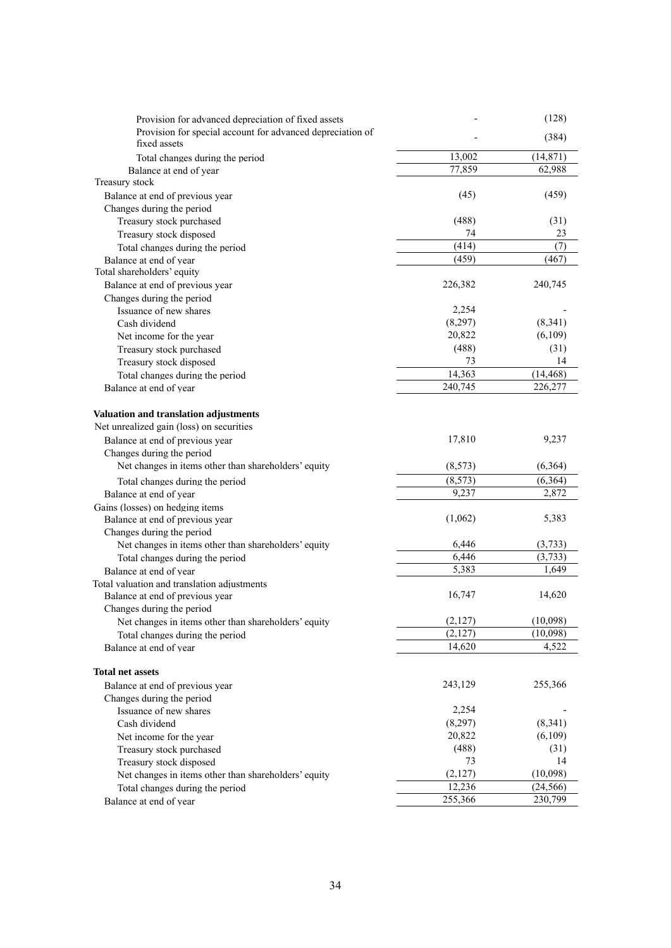| Provision for advanced depreciation of fixed assets                        |          | (128)     |
|----------------------------------------------------------------------------|----------|-----------|
| Provision for special account for advanced depreciation of<br>fixed assets |          | (384)     |
| Total changes during the period                                            | 13,002   | (14, 871) |
| Balance at end of year                                                     | 77,859   | 62,988    |
| Treasury stock                                                             |          |           |
| Balance at end of previous year                                            | (45)     | (459)     |
| Changes during the period                                                  |          |           |
| Treasury stock purchased                                                   | (488)    | (31)      |
| Treasury stock disposed                                                    | 74       | 23        |
| Total changes during the period                                            | (414)    | (7)       |
| Balance at end of year                                                     | (459)    | (467)     |
| Total shareholders' equity                                                 |          |           |
| Balance at end of previous year                                            | 226,382  | 240,745   |
| Changes during the period                                                  |          |           |
| Issuance of new shares                                                     | 2,254    |           |
| Cash dividend                                                              | (8,297)  | (8, 341)  |
| Net income for the year                                                    | 20,822   | (6,109)   |
| Treasury stock purchased                                                   | (488)    | (31)      |
| Treasury stock disposed                                                    | 73       | 14        |
| Total changes during the period                                            | 14,363   | (14, 468) |
| Balance at end of year                                                     | 240,745  | 226,277   |
|                                                                            |          |           |
| Valuation and translation adjustments                                      |          |           |
| Net unrealized gain (loss) on securities                                   |          |           |
| Balance at end of previous year                                            | 17,810   | 9,237     |
| Changes during the period                                                  |          |           |
| Net changes in items other than shareholders' equity                       | (8,573)  | (6, 364)  |
| Total changes during the period                                            | (8,573)  | (6, 364)  |
| Balance at end of year                                                     | 9,237    | 2,872     |
| Gains (losses) on hedging items                                            |          |           |
| Balance at end of previous year                                            | (1,062)  | 5,383     |
| Changes during the period                                                  |          |           |
| Net changes in items other than shareholders' equity                       | 6,446    | (3,733)   |
| Total changes during the period                                            | 6,446    | (3,733)   |
| Balance at end of year                                                     | 5,383    | 1,649     |
| Total valuation and translation adjustments                                |          |           |
| Balance at end of previous year                                            | 16,747   | 14,620    |
| Changes during the period                                                  |          |           |
| Net changes in items other than shareholders' equity                       | (2,127)  | (10,098)  |
| Total changes during the period                                            | (2,127)  | (10,098)  |
| Balance at end of year                                                     | 14,620   | 4,522     |
|                                                                            |          |           |
| <b>Total net assets</b>                                                    |          |           |
| Balance at end of previous year                                            | 243,129  | 255,366   |
| Changes during the period                                                  |          |           |
| Issuance of new shares                                                     | 2,254    |           |
| Cash dividend                                                              | (8,297)  | (8,341)   |
| Net income for the year                                                    | 20,822   | (6,109)   |
| Treasury stock purchased                                                   | (488)    | (31)      |
| Treasury stock disposed                                                    | 73       | 14        |
| Net changes in items other than shareholders' equity                       | (2, 127) | (10,098)  |
| Total changes during the period                                            | 12,236   | (24, 566) |
| Balance at end of year                                                     | 255,366  | 230,799   |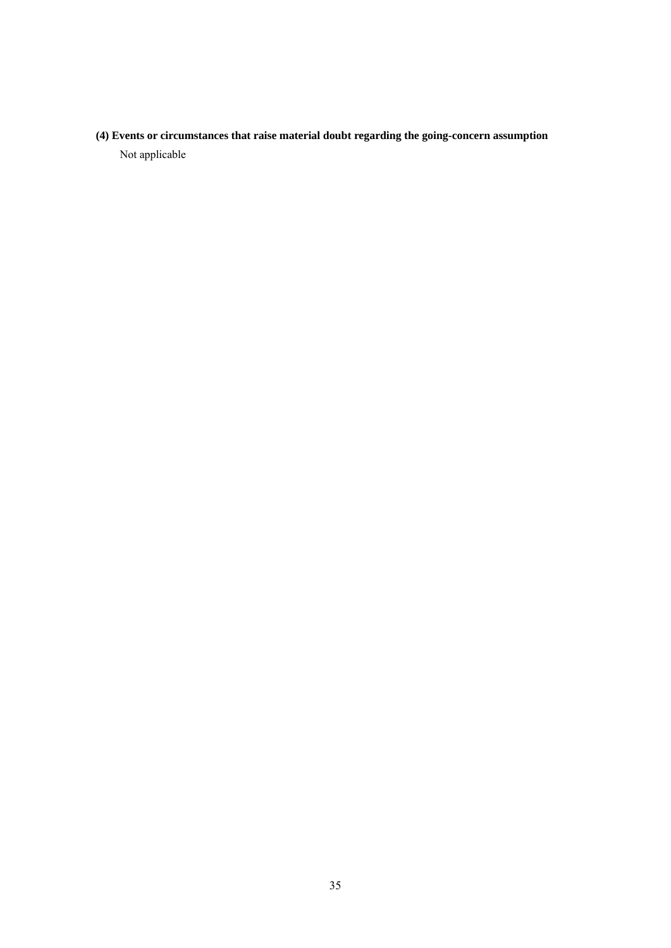**(4) Events or circumstances that raise material doubt regarding the going-concern assumption**  Not applicable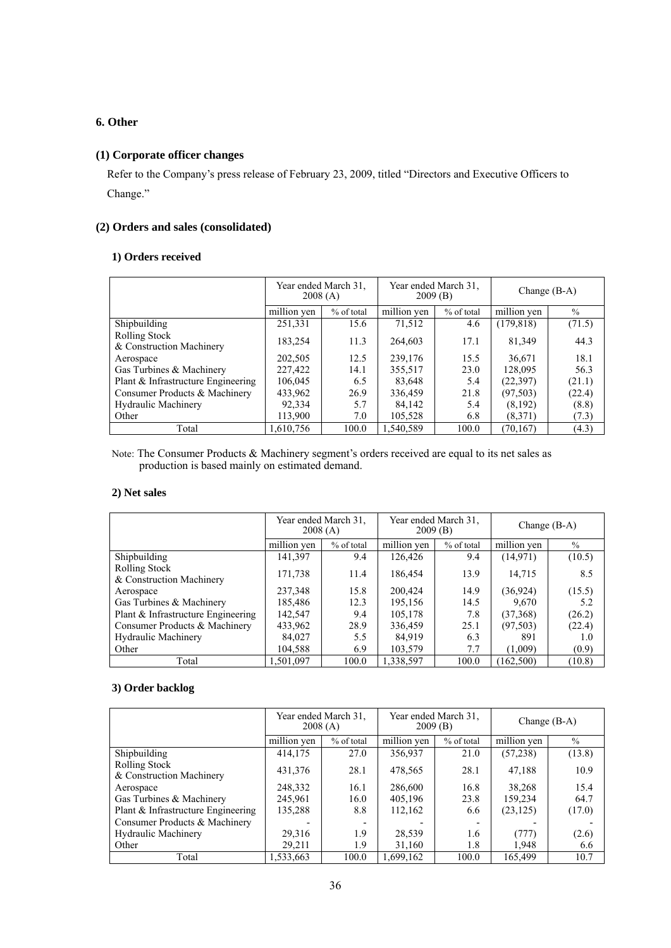# **6. Other**

### **(1) Corporate officer changes**

Refer to the Company's press release of February 23, 2009, titled "Directors and Executive Officers to Change."

### **(2) Orders and sales (consolidated)**

### **1) Orders received**

|                                           | Year ended March 31.<br>2008(A) |            | Year ended March 31.<br>2009(B) |            | Change $(B-A)$ |        |
|-------------------------------------------|---------------------------------|------------|---------------------------------|------------|----------------|--------|
|                                           | million yen                     | % of total | million yen                     | % of total | million yen    | $\%$   |
| Shipbuilding                              | 251,331                         | 15.6       | 71,512                          | 4.6        | (179, 818)     | (71.5) |
| Rolling Stock<br>& Construction Machinery | 183,254                         | 11.3       | 264,603                         | 17.1       | 81,349         | 44.3   |
| Aerospace                                 | 202,505                         | 12.5       | 239,176                         | 15.5       | 36,671         | 18.1   |
| Gas Turbines & Machinery                  | 227,422                         | 14.1       | 355,517                         | 23.0       | 128,095        | 56.3   |
| Plant & Infrastructure Engineering        | 106,045                         | 6.5        | 83,648                          | 5.4        | (22, 397)      | (21.1) |
| Consumer Products & Machinery             | 433,962                         | 26.9       | 336,459                         | 21.8       | (97, 503)      | (22.4) |
| <b>Hydraulic Machinery</b>                | 92,334                          | 5.7        | 84,142                          | 5.4        | (8,192)        | (8.8)  |
| Other                                     | 113,900                         | 7.0        | 105,528                         | 6.8        | (8,371)        | (7.3)  |
| Total                                     | 1,610,756                       | 100.0      | 1,540,589                       | 100.0      | (70, 167)      | (4.3)  |

Note: The Consumer Products & Machinery segment's orders received are equal to its net sales as production is based mainly on estimated demand.

### **2) Net sales**

|                                                  | Year ended March 31.<br>2008(A) |            | Year ended March 31.<br>2009(B) |            | Change $(B-A)$ |        |
|--------------------------------------------------|---------------------------------|------------|---------------------------------|------------|----------------|--------|
|                                                  | million yen                     | % of total | million yen                     | % of total | million yen    | $\%$   |
| Shipbuilding                                     | 141,397                         | 9.4        | 126,426                         | 9.4        | (14, 971)      | (10.5) |
| <b>Rolling Stock</b><br>& Construction Machinery | 171,738                         | 11.4       | 186,454                         | 13.9       | 14,715         | 8.5    |
| Aerospace                                        | 237,348                         | 15.8       | 200,424                         | 14.9       | (36, 924)      | (15.5) |
| Gas Turbines & Machinery                         | 185,486                         | 12.3       | 195,156                         | 14.5       | 9,670          | 5.2    |
| Plant & Infrastructure Engineering               | 142.547                         | 9.4        | 105,178                         | 7.8        | (37,368)       | (26.2) |
| Consumer Products & Machinery                    | 433,962                         | 28.9       | 336,459                         | 25.1       | (97, 503)      | (22.4) |
| <b>Hydraulic Machinery</b>                       | 84,027                          | 5.5        | 84.919                          | 6.3        | 891            | 1.0    |
| Other                                            | 104,588                         | 6.9        | 103,579                         | 7.7        | (1,009)        | (0.9)  |
| Total                                            | 1,501,097                       | 100.0      | 1,338,597                       | 100.0      | (162, 500)     | (10.8) |

### **3) Order backlog**

|                                                  | Year ended March 31.<br>2008(A) |            | Year ended March 31.<br>2009(B) |            | Change $(B-A)$ |               |
|--------------------------------------------------|---------------------------------|------------|---------------------------------|------------|----------------|---------------|
|                                                  | million yen                     | % of total | million yen                     | % of total | million ven    | $\frac{0}{0}$ |
| Shipbuilding                                     | 414,175                         | 27.0       | 356,937                         | 21.0       | (57,238)       | (13.8)        |
| <b>Rolling Stock</b><br>& Construction Machinery | 431,376                         | 28.1       | 478,565                         | 28.1       | 47,188         | 10.9          |
| Aerospace                                        | 248,332                         | 16.1       | 286,600                         | 16.8       | 38,268         | 15.4          |
| Gas Turbines & Machinery                         | 245,961                         | 16.0       | 405,196                         | 23.8       | 159.234        | 64.7          |
| Plant & Infrastructure Engineering               | 135,288                         | 8.8        | 112,162                         | 6.6        | (23, 125)      | (17.0)        |
| Consumer Products & Machinery                    |                                 |            |                                 |            |                |               |
| <b>Hydraulic Machinery</b>                       | 29,316                          | 1.9        | 28,539                          | 1.6        | (777)          | (2.6)         |
| Other                                            | 29,211                          | 1.9        | 31,160                          | 1.8        | 1,948          | 6.6           |
| Total                                            | 1,533,663                       | 100.0      | 1,699,162                       | 100.0      | 165.499        | 10.7          |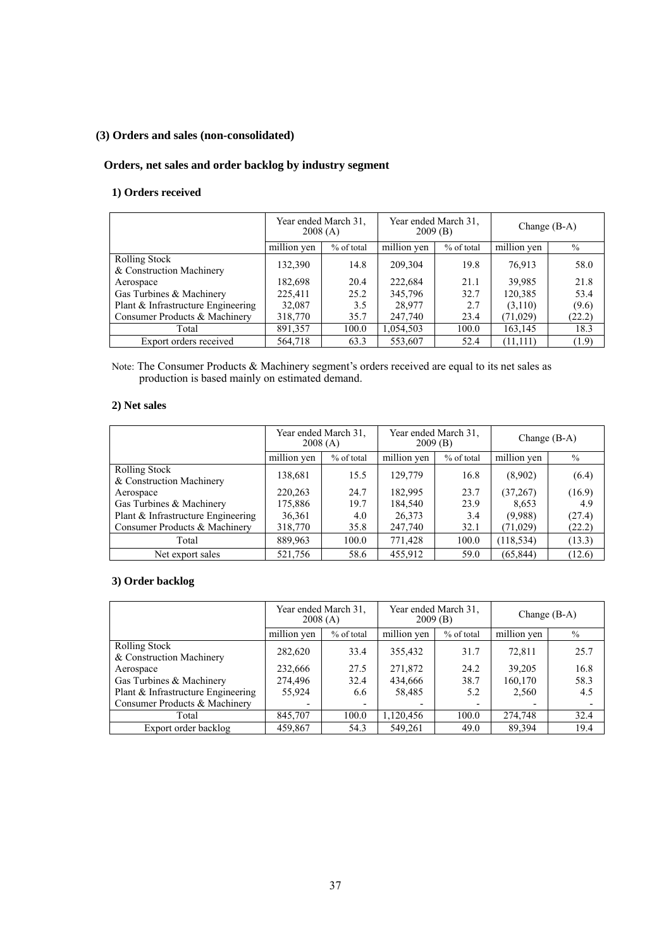# **(3) Orders and sales (non-consolidated)**

# **Orders, net sales and order backlog by industry segment**

# **1) Orders received**

|                                           | Year ended March 31.<br>2008(A) |            | Year ended March 31.<br>2009(B) |            | Change $(B-A)$ |               |
|-------------------------------------------|---------------------------------|------------|---------------------------------|------------|----------------|---------------|
|                                           | million yen                     | % of total | million yen                     | % of total | million yen    | $\frac{0}{0}$ |
| Rolling Stock<br>& Construction Machinery | 132,390                         | 14.8       | 209,304                         | 19.8       | 76,913         | 58.0          |
| Aerospace                                 | 182,698                         | 20.4       | 222,684                         | 21.1       | 39,985         | 21.8          |
| Gas Turbines & Machinery                  | 225.411                         | 25.2       | 345,796                         | 32.7       | 120,385        | 53.4          |
| Plant & Infrastructure Engineering        | 32,087                          | 3.5        | 28,977                          | 2.7        | (3,110)        | (9.6)         |
| Consumer Products & Machinery             | 318,770                         | 35.7       | 247,740                         | 23.4       | (71, 029)      | (22.2)        |
| Total                                     | 891,357                         | 100.0      | 1,054,503                       | 100.0      | 163,145        | 18.3          |
| Export orders received                    | 564,718                         | 63.3       | 553,607                         | 52.4       | (11, 111)      | (1.9)         |

Note: The Consumer Products & Machinery segment's orders received are equal to its net sales as production is based mainly on estimated demand.

### **2) Net sales**

|                                                  | Year ended March 31.<br>2008(A) |            | Year ended March 31.<br>2009(B) |            | Change $(B-A)$ |        |
|--------------------------------------------------|---------------------------------|------------|---------------------------------|------------|----------------|--------|
|                                                  | million yen                     | % of total | million yen                     | % of total | million yen    | $\%$   |
| <b>Rolling Stock</b><br>& Construction Machinery | 138,681                         | 15.5       | 129.779                         | 16.8       | (8,902)        | (6.4)  |
| Aerospace                                        | 220,263                         | 24.7       | 182,995                         | 23.7       | (37,267)       | (16.9) |
| Gas Turbines & Machinery                         | 175,886                         | 19.7       | 184.540                         | 23.9       | 8,653          | 4.9    |
| Plant & Infrastructure Engineering               | 36,361                          | 4.0        | 26,373                          | 3.4        | (9,988)        | (27.4) |
| Consumer Products & Machinery                    | 318,770                         | 35.8       | 247,740                         | 32.1       | (71,029)       | (22.2) |
| Total                                            | 889,963                         | 100.0      | 771,428                         | 100.0      | (118, 534)     | (13.3) |
| Net export sales                                 | 521,756                         | 58.6       | 455,912                         | 59.0       | (65, 844)      | (12.6) |

### **3) Order backlog**

|                                                  | Year ended March 31.<br>2008(A) |                          | Year ended March 31.<br>2009(B) |            | Change $(B-A)$ |      |
|--------------------------------------------------|---------------------------------|--------------------------|---------------------------------|------------|----------------|------|
|                                                  | million yen                     | % of total               | million yen                     | % of total | million yen    | $\%$ |
| <b>Rolling Stock</b><br>& Construction Machinery | 282,620                         | 33.4                     | 355,432                         | 31.7       | 72,811         | 25.7 |
| Aerospace                                        | 232,666                         | 27.5                     | 271,872                         | 24.2       | 39.205         | 16.8 |
| Gas Turbines & Machinery                         | 274,496                         | 32.4                     | 434,666                         | 38.7       | 160,170        | 58.3 |
| Plant & Infrastructure Engineering               | 55.924                          | 6.6                      | 58,485                          | 5.2        | 2,560          | 4.5  |
| Consumer Products & Machinery                    |                                 | $\overline{\phantom{a}}$ |                                 |            |                |      |
| Total                                            | 845,707                         | 100.0                    | 1,120,456                       | 100.0      | 274,748        | 32.4 |
| Export order backlog                             | 459.867                         | 54.3                     | 549.261                         | 49.0       | 89.394         | 19.4 |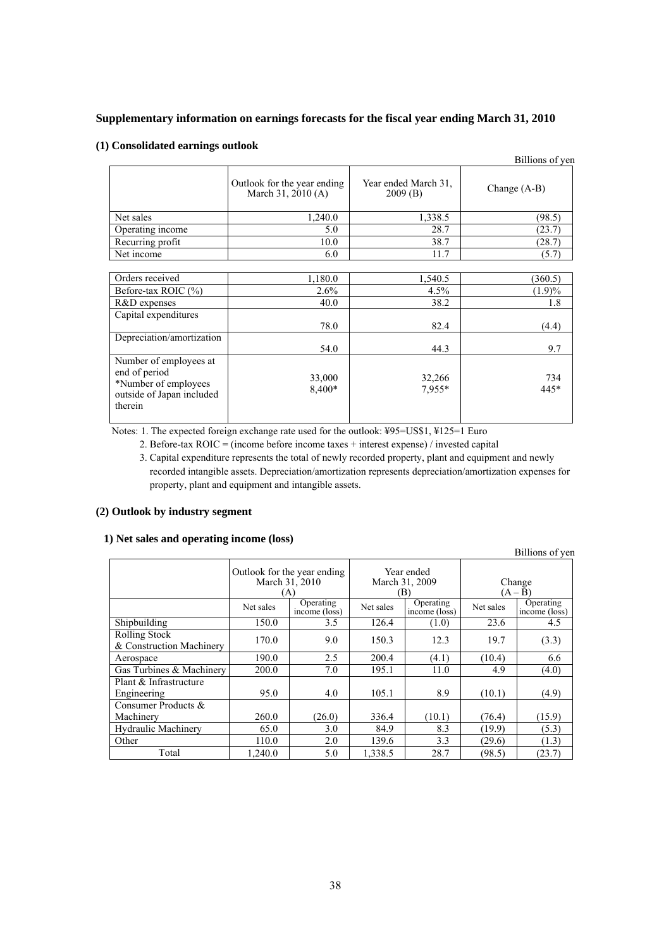#### **Supplementary information on earnings forecasts for the fiscal year ending March 31, 2010**

#### **(1) Consolidated earnings outlook**

|                                                                                                         |                                                   |                                 | Billions of yen |
|---------------------------------------------------------------------------------------------------------|---------------------------------------------------|---------------------------------|-----------------|
|                                                                                                         | Outlook for the year ending<br>March 31, 2010 (A) | Year ended March 31.<br>2009(B) | Change $(A-B)$  |
| Net sales                                                                                               | 1,240.0                                           | 1,338.5                         | (98.5)          |
| Operating income                                                                                        | 5.0                                               | 28.7                            | (23.7)          |
| Recurring profit                                                                                        | 10.0                                              | 38.7                            | (28.7)          |
| Net income                                                                                              | 6.0                                               | 11.7                            | (5.7)           |
|                                                                                                         |                                                   |                                 |                 |
| Orders received                                                                                         | 1,180.0                                           | 1,540.5                         | (360.5)         |
| Before-tax ROIC (%)                                                                                     | $2.6\%$                                           | 4.5%                            | (1.9)%          |
| R&D expenses                                                                                            | 40.0                                              | 38.2                            | 1.8             |
| Capital expenditures                                                                                    | 78.0                                              | 82.4                            | (4.4)           |
| Depreciation/amortization                                                                               | 54.0                                              | 44.3                            | 9.7             |
| Number of employees at<br>end of period<br>*Number of employees<br>outside of Japan included<br>therein | 33,000<br>8,400*                                  | 32,266<br>7.955*                | 734<br>445*     |

Notes: 1. The expected foreign exchange rate used for the outlook: ¥95=US\$1, ¥125=1 Euro

2. Before-tax ROIC = (income before income taxes + interest expense) / invested capital

3. Capital expenditure represents the total of newly recorded property, plant and equipment and newly recorded intangible assets. Depreciation/amortization represents depreciation/amortization expenses for property, plant and equipment and intangible assets.

### **(2) Outlook by industry segment**

| 1) Net sales and operating income (loss) |  |  |  |
|------------------------------------------|--|--|--|
|------------------------------------------|--|--|--|

Billions of yen Outlook for the year ending March 31, 2010  $(\Delta)$ Year ended March 31, 2009  $(B)$  Operating Change  $(A - \bar{B})$ Net sales  $\overline{\phantom{a}}$  Operating Operating<br>income (loss) Net sales net loss<br>3.5 126.4 (1.0)  $\begin{array}{|l|c|c|c|c|}\n\hline\n\text{Operating} & \text{Net sales} & \text{Operating} \\
\hline\n\text{income (loss)} & \text{1.0} & \text{23.6} & \text{4.5} \\
\hline\n\end{array}$ income (loss) Shipbuilding 150.0 Rolling Stock 8. Exponential Machinery 170.0 9.0 150.3 12.3 19.7 (3.3)<br>Aerospace 190.0 2.5 200.4 (4.1) (10.4) 6.6 Aerospace 190.0 2.5 200.4 (4.1) (10.4) 6.6 Gas Turbines & Machinery 200.0 7.0 195.1 11.0 4.9 (4.0) Plant & Infrastructure Engineering 195.0 4.0 105.1 8.9 (10.1) (4.9) Consumer Products & Machinery 260.0 (26.0) 336.4 (10.1) (76.4) (15.9) Hydraulic Machinery 65.0 3.0 84.9 8.3 (19.9) (5.3) Other 110.0 2.0 139.6 3.3 (29.6) (1.3) Total  $\begin{array}{|c|c|c|c|c|c|c|c|c|} \hline 1,240.0 & 5.0 & 1,338.5 & 28.7 & (98.5) & (23.7) \hline \end{array}$